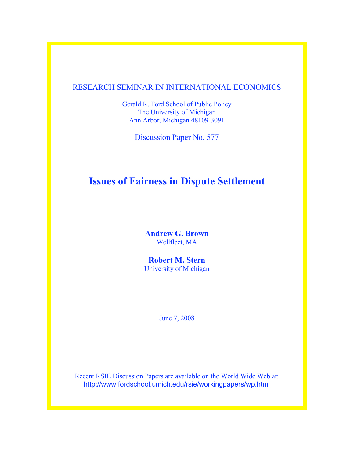# RESEARCH SEMINAR IN INTERNATIONAL ECONOMICS

Gerald R. Ford School of Public Policy The University of Michigan Ann Arbor, Michigan 48109-3091

Discussion Paper No. 577

# **Issues of Fairness in Dispute Settlement**

**Andrew G. Brown** Wellfleet, MA

**Robert M. Stern** University of Michigan

June 7, 2008

Recent RSIE Discussion Papers are available on the World Wide Web at: http://www.fordschool.umich.edu/rsie/workingpapers/wp.html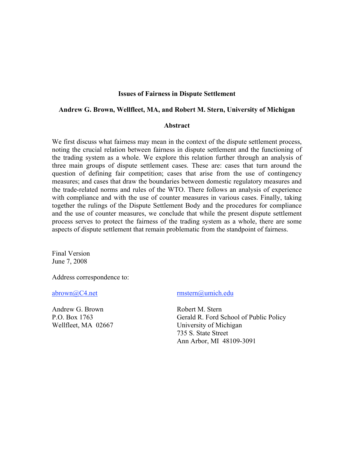# **Issues of Fairness in Dispute Settlement**

#### **Andrew G. Brown, Wellfleet, MA, and Robert M. Stern, University of Michigan**

#### **Abstract**

We first discuss what fairness may mean in the context of the dispute settlement process, noting the crucial relation between fairness in dispute settlement and the functioning of the trading system as a whole. We explore this relation further through an analysis of three main groups of dispute settlement cases. These are: cases that turn around the question of defining fair competition; cases that arise from the use of contingency measures; and cases that draw the boundaries between domestic regulatory measures and the trade-related norms and rules of the WTO. There follows an analysis of experience with compliance and with the use of counter measures in various cases. Finally, taking together the rulings of the Dispute Settlement Body and the procedures for compliance and the use of counter measures, we conclude that while the present dispute settlement process serves to protect the fairness of the trading system as a whole, there are some aspects of dispute settlement that remain problematic from the standpoint of fairness.

Final Version June 7, 2008

Address correspondence to:

Andrew G. Brown Robert M. Stern

abrown@C4.net rmstern@umich.edu

P.O. Box 1763 Gerald R. Ford School of Public Policy Wellfleet, MA 02667 University of Michigan 735 S. State Street Ann Arbor, MI 48109-3091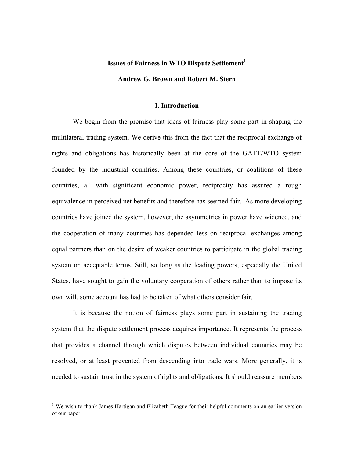#### **Issues of Fairness in WTO Dispute Settlement<sup>1</sup>**

#### **Andrew G. Brown and Robert M. Stern**

#### **I. Introduction**

We begin from the premise that ideas of fairness play some part in shaping the multilateral trading system. We derive this from the fact that the reciprocal exchange of rights and obligations has historically been at the core of the GATT/WTO system founded by the industrial countries. Among these countries, or coalitions of these countries, all with significant economic power, reciprocity has assured a rough equivalence in perceived net benefits and therefore has seemed fair. As more developing countries have joined the system, however, the asymmetries in power have widened, and the cooperation of many countries has depended less on reciprocal exchanges among equal partners than on the desire of weaker countries to participate in the global trading system on acceptable terms. Still, so long as the leading powers, especially the United States, have sought to gain the voluntary cooperation of others rather than to impose its own will, some account has had to be taken of what others consider fair.

It is because the notion of fairness plays some part in sustaining the trading system that the dispute settlement process acquires importance. It represents the process that provides a channel through which disputes between individual countries may be resolved, or at least prevented from descending into trade wars. More generally, it is needed to sustain trust in the system of rights and obligations. It should reassure members

 $\frac{1}{1}$ <sup>1</sup> We wish to thank James Hartigan and Elizabeth Teague for their helpful comments on an earlier version of our paper.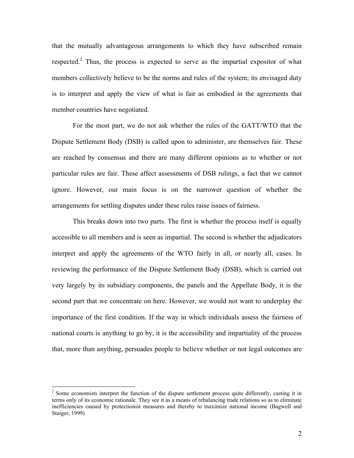that the mutually advantageous arrangements to which they have subscribed remain respected.<sup>2</sup> Thus, the process is expected to serve as the impartial expositor of what members collectively believe to be the norms and rules of the system; its envisaged duty is to interpret and apply the view of what is fair as embodied in the agreements that member countries have negotiated.

For the most part, we do not ask whether the rules of the GATT/WTO that the Dispute Settlement Body (DSB) is called upon to administer, are themselves fair. These are reached by consensus and there are many different opinions as to whether or not particular rules are fair. These affect assessments of DSB rulings, a fact that we cannot ignore. However, our main focus is on the narrower question of whether the arrangements for settling disputes under these rules raise issues of fairness.

This breaks down into two parts. The first is whether the process itself is equally accessible to all members and is seen as impartial. The second is whether the adjudicators interpret and apply the agreements of the WTO fairly in all, or nearly all, cases. In reviewing the performance of the Dispute Settlement Body (DSB), which is carried out very largely by its subsidiary components, the panels and the Appellate Body, it is the second part that we concentrate on here. However, we would not want to underplay the importance of the first condition. If the way in which individuals assess the fairness of national courts is anything to go by, it is the accessibility and impartiality of the process that, more than anything, persuades people to believe whether or not legal outcomes are

 $\frac{1}{2}$  $\frac{1}{2}$  Some economists interpret the function of the dispute settlement process quite differently, casting it in terms only of its economic rationale. They see it as a means of rebalancing trade relations so as to eliminate inefficiencies caused by protectionist measures and thereby to maximize national income (Bagwell and Staiger, 1999)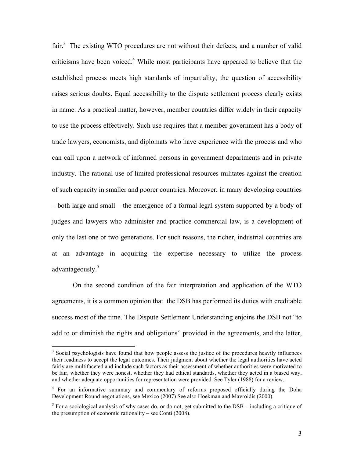fair. $3$  The existing WTO procedures are not without their defects, and a number of valid criticisms have been voiced.<sup>4</sup> While most participants have appeared to believe that the established process meets high standards of impartiality, the question of accessibility raises serious doubts. Equal accessibility to the dispute settlement process clearly exists in name. As a practical matter, however, member countries differ widely in their capacity to use the process effectively. Such use requires that a member government has a body of trade lawyers, economists, and diplomats who have experience with the process and who can call upon a network of informed persons in government departments and in private industry. The rational use of limited professional resources militates against the creation of such capacity in smaller and poorer countries. Moreover, in many developing countries – both large and small – the emergence of a formal legal system supported by a body of judges and lawyers who administer and practice commercial law, is a development of only the last one or two generations. For such reasons, the richer, industrial countries are at an advantage in acquiring the expertise necessary to utilize the process advantageously.<sup>5</sup>

On the second condition of the fair interpretation and application of the WTO agreements, it is a common opinion that the DSB has performed its duties with creditable success most of the time. The Dispute Settlement Understanding enjoins the DSB not "to add to or diminish the rights and obligations" provided in the agreements, and the latter,

 <sup>3</sup> <sup>3</sup> Social psychologists have found that how people assess the justice of the procedures heavily influences their readiness to accept the legal outcomes. Their judgment about whether the legal authorities have acted fairly are multifaceted and include such factors as their assessment of whether authorities were motivated to be fair, whether they were honest, whether they had ethical standards, whether they acted in a biased way, and whether adequate opportunities for representation were provided. See Tyler (1988) for a review.

<sup>&</sup>lt;sup>4</sup> For an informative summary and commentary of reforms proposed officially during the Doha Development Round negotiations, see Mexico (2007) See also Hoekman and Mavroidis (2000).

<sup>&</sup>lt;sup>5</sup> For a sociological analysis of why cases do, or do not, get submitted to the DSB – including a critique of the presumption of economic rationality – see Conti (2008).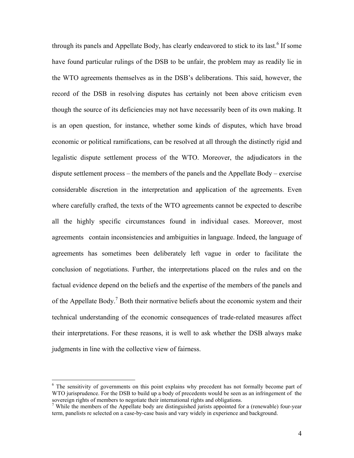through its panels and Appellate Body, has clearly endeavored to stick to its last.<sup>6</sup> If some have found particular rulings of the DSB to be unfair, the problem may as readily lie in the WTO agreements themselves as in the DSB's deliberations. This said, however, the record of the DSB in resolving disputes has certainly not been above criticism even though the source of its deficiencies may not have necessarily been of its own making. It is an open question, for instance, whether some kinds of disputes, which have broad economic or political ramifications, can be resolved at all through the distinctly rigid and legalistic dispute settlement process of the WTO. Moreover, the adjudicators in the dispute settlement process – the members of the panels and the Appellate Body – exercise considerable discretion in the interpretation and application of the agreements. Even where carefully crafted, the texts of the WTO agreements cannot be expected to describe all the highly specific circumstances found in individual cases. Moreover, most agreements contain inconsistencies and ambiguities in language. Indeed, the language of agreements has sometimes been deliberately left vague in order to facilitate the conclusion of negotiations. Further, the interpretations placed on the rules and on the factual evidence depend on the beliefs and the expertise of the members of the panels and of the Appellate Body.<sup>7</sup> Both their normative beliefs about the economic system and their technical understanding of the economic consequences of trade-related measures affect their interpretations. For these reasons, it is well to ask whether the DSB always make judgments in line with the collective view of fairness.

 $\frac{1}{6}$ <sup>6</sup> The sensitivity of governments on this point explains why precedent has not formally become part of WTO jurisprudence. For the DSB to build up a body of precedents would be seen as an infringement of the sovereign rights of members to negotiate their international rights and obligations.

<sup>&</sup>lt;sup>7</sup> While the members of the Appellate body are distinguished jurists appointed for a (renewable) four-year term, panelists re selected on a case-by-case basis and vary widely in experience and background.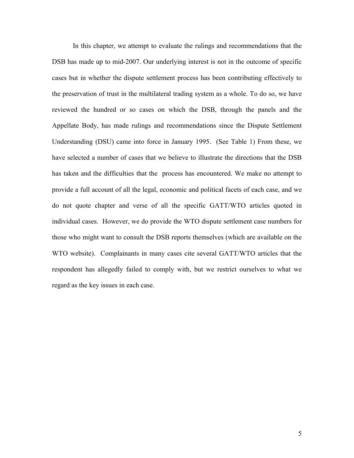In this chapter, we attempt to evaluate the rulings and recommendations that the DSB has made up to mid-2007. Our underlying interest is not in the outcome of specific cases but in whether the dispute settlement process has been contributing effectively to the preservation of trust in the multilateral trading system as a whole. To do so, we have reviewed the hundred or so cases on which the DSB, through the panels and the Appellate Body, has made rulings and recommendations since the Dispute Settlement Understanding (DSU) came into force in January 1995. (See Table 1) From these, we have selected a number of cases that we believe to illustrate the directions that the DSB has taken and the difficulties that the process has encountered. We make no attempt to provide a full account of all the legal, economic and political facets of each case, and we do not quote chapter and verse of all the specific GATT/WTO articles quoted in individual cases. However, we do provide the WTO dispute settlement case numbers for those who might want to consult the DSB reports themselves (which are available on the WTO website). Complainants in many cases cite several GATT/WTO articles that the respondent has allegedly failed to comply with, but we restrict ourselves to what we regard as the key issues in each case.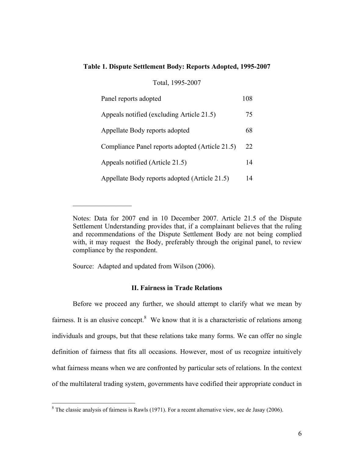# **Table 1. Dispute Settlement Body: Reports Adopted, 1995-2007**

# Total, 1995-2007

| Panel reports adopted                           | 108 |
|-------------------------------------------------|-----|
| Appeals notified (excluding Article 21.5)       | 75  |
| Appellate Body reports adopted                  | 68  |
| Compliance Panel reports adopted (Article 21.5) | 22  |
| Appeals notified (Article 21.5)                 | 14  |
| Appellate Body reports adopted (Article 21.5)   | 14  |

Source: Adapted and updated from Wilson (2006).

 $\mathcal{L}_\text{max}$ 

# **II. Fairness in Trade Relations**

Before we proceed any further, we should attempt to clarify what we mean by fairness. It is an elusive concept. $8$  We know that it is a characteristic of relations among individuals and groups, but that these relations take many forms. We can offer no single definition of fairness that fits all occasions. However, most of us recognize intuitively what fairness means when we are confronted by particular sets of relations. In the context of the multilateral trading system, governments have codified their appropriate conduct in

Notes: Data for 2007 end in 10 December 2007. Article 21.5 of the Dispute Settlement Understanding provides that, if a complainant believes that the ruling and recommendations of the Dispute Settlement Body are not being complied with, it may request the Body, preferably through the original panel, to review compliance by the respondent.

 <sup>8</sup>  $8$  The classic analysis of fairness is Rawls (1971). For a recent alternative view, see de Jasay (2006).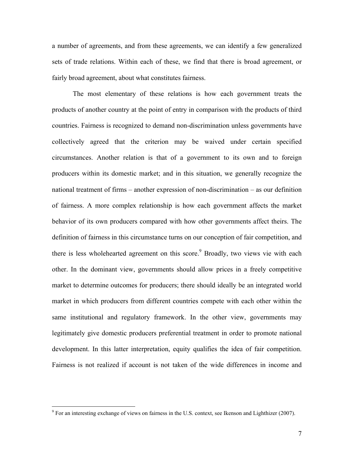a number of agreements, and from these agreements, we can identify a few generalized sets of trade relations. Within each of these, we find that there is broad agreement, or fairly broad agreement, about what constitutes fairness.

The most elementary of these relations is how each government treats the products of another country at the point of entry in comparison with the products of third countries. Fairness is recognized to demand non-discrimination unless governments have collectively agreed that the criterion may be waived under certain specified circumstances. Another relation is that of a government to its own and to foreign producers within its domestic market; and in this situation, we generally recognize the national treatment of firms – another expression of non-discrimination – as our definition of fairness. A more complex relationship is how each government affects the market behavior of its own producers compared with how other governments affect theirs. The definition of fairness in this circumstance turns on our conception of fair competition, and there is less wholehearted agreement on this score.<sup>9</sup> Broadly, two views vie with each other. In the dominant view, governments should allow prices in a freely competitive market to determine outcomes for producers; there should ideally be an integrated world market in which producers from different countries compete with each other within the same institutional and regulatory framework. In the other view, governments may legitimately give domestic producers preferential treatment in order to promote national development. In this latter interpretation, equity qualifies the idea of fair competition. Fairness is not realized if account is not taken of the wide differences in income and

<sup>-&</sup>lt;br>9  $9^9$  For an interesting exchange of views on fairness in the U.S. context, see Ikenson and Lighthizer (2007).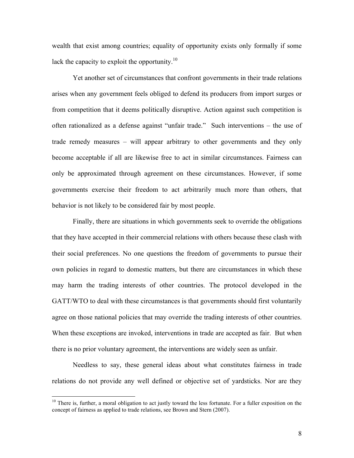wealth that exist among countries; equality of opportunity exists only formally if some lack the capacity to exploit the opportunity.<sup>10</sup>

Yet another set of circumstances that confront governments in their trade relations arises when any government feels obliged to defend its producers from import surges or from competition that it deems politically disruptive. Action against such competition is often rationalized as a defense against "unfair trade." Such interventions – the use of trade remedy measures – will appear arbitrary to other governments and they only become acceptable if all are likewise free to act in similar circumstances. Fairness can only be approximated through agreement on these circumstances. However, if some governments exercise their freedom to act arbitrarily much more than others, that behavior is not likely to be considered fair by most people.

Finally, there are situations in which governments seek to override the obligations that they have accepted in their commercial relations with others because these clash with their social preferences. No one questions the freedom of governments to pursue their own policies in regard to domestic matters, but there are circumstances in which these may harm the trading interests of other countries. The protocol developed in the GATT/WTO to deal with these circumstances is that governments should first voluntarily agree on those national policies that may override the trading interests of other countries. When these exceptions are invoked, interventions in trade are accepted as fair. But when there is no prior voluntary agreement, the interventions are widely seen as unfair.

Needless to say, these general ideas about what constitutes fairness in trade relations do not provide any well defined or objective set of yardsticks. Nor are they

 $10$  There is, further, a moral obligation to act justly toward the less fortunate. For a fuller exposition on the concept of fairness as applied to trade relations, see Brown and Stern (2007).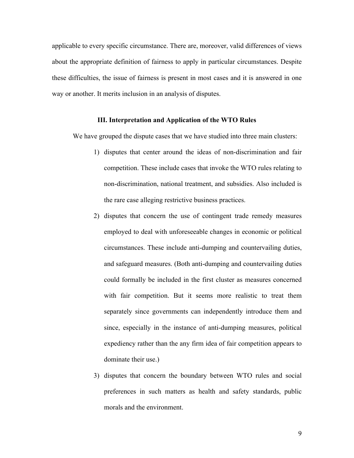applicable to every specific circumstance. There are, moreover, valid differences of views about the appropriate definition of fairness to apply in particular circumstances. Despite these difficulties, the issue of fairness is present in most cases and it is answered in one way or another. It merits inclusion in an analysis of disputes.

#### **III. Interpretation and Application of the WTO Rules**

We have grouped the dispute cases that we have studied into three main clusters:

- 1) disputes that center around the ideas of non-discrimination and fair competition. These include cases that invoke the WTO rules relating to non-discrimination, national treatment, and subsidies. Also included is the rare case alleging restrictive business practices.
- 2) disputes that concern the use of contingent trade remedy measures employed to deal with unforeseeable changes in economic or political circumstances. These include anti-dumping and countervailing duties, and safeguard measures. (Both anti-dumping and countervailing duties could formally be included in the first cluster as measures concerned with fair competition. But it seems more realistic to treat them separately since governments can independently introduce them and since, especially in the instance of anti-dumping measures, political expediency rather than the any firm idea of fair competition appears to dominate their use.)
- 3) disputes that concern the boundary between WTO rules and social preferences in such matters as health and safety standards, public morals and the environment.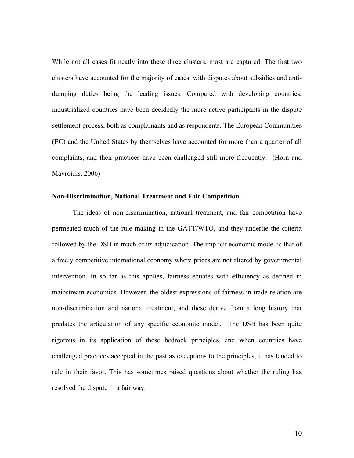While not all cases fit neatly into these three clusters, most are captured. The first two clusters have accounted for the majority of cases, with disputes about subsidies and antidumping duties being the leading issues. Compared with developing countries, industrialized countries have been decidedly the more active participants in the dispute settlement process, both as complainants and as respondents. The European Communities (EC) and the United States by themselves have accounted for more than a quarter of all complaints, and their practices have been challenged still more frequently. (Horn and Mavroidis, 2006)

#### **Non-Discrimination, National Treatment and Fair Competition***.*

The ideas of non-discrimination, national treatment, and fair competition have permeated much of the rule making in the GATT/WTO, and they underlie the criteria followed by the DSB in much of its adjudication. The implicit economic model is that of a freely competitive international economy where prices are not altered by governmental intervention. In so far as this applies, fairness equates with efficiency as defined in mainstream economics. However, the oldest expressions of fairness in trade relation are non-discrimination and national treatment, and these derive from a long history that predates the articulation of any specific economic model. The DSB has been quite rigorous in its application of these bedrock principles, and when countries have challenged practices accepted in the past as exceptions to the principles, it has tended to rule in their favor. This has sometimes raised questions about whether the ruling has resolved the dispute in a fair way.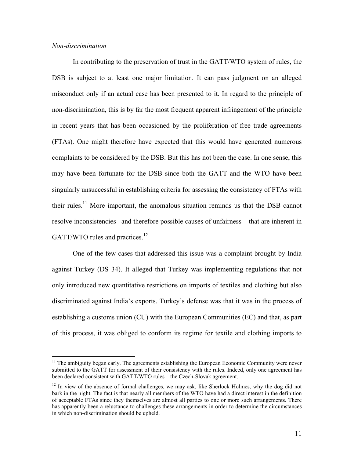# *Non-discrimination*

In contributing to the preservation of trust in the GATT/WTO system of rules, the DSB is subject to at least one major limitation. It can pass judgment on an alleged misconduct only if an actual case has been presented to it. In regard to the principle of non-discrimination, this is by far the most frequent apparent infringement of the principle in recent years that has been occasioned by the proliferation of free trade agreements (FTAs). One might therefore have expected that this would have generated numerous complaints to be considered by the DSB. But this has not been the case. In one sense, this may have been fortunate for the DSB since both the GATT and the WTO have been singularly unsuccessful in establishing criteria for assessing the consistency of FTAs with their rules.<sup>11</sup> More important, the anomalous situation reminds us that the DSB cannot resolve inconsistencies –and therefore possible causes of unfairness – that are inherent in GATT/WTO rules and practices.<sup>12</sup>

One of the few cases that addressed this issue was a complaint brought by India against Turkey (DS 34). It alleged that Turkey was implementing regulations that not only introduced new quantitative restrictions on imports of textiles and clothing but also discriminated against India's exports. Turkey's defense was that it was in the process of establishing a customs union (CU) with the European Communities (EC) and that, as part of this process, it was obliged to conform its regime for textile and clothing imports to

 $11$  The ambiguity began early. The agreements establishing the European Economic Community were never submitted to the GATT for assessment of their consistency with the rules. Indeed, only one agreement has been declared consistent with GATT/WTO rules – the Czech-Slovak agreement.

 $12 \text{ In view of the absence of formal challenges, we may ask, like Sherlock Holmes, why the dog did not$ bark in the night. The fact is that nearly all members of the WTO have had a direct interest in the definition of acceptable FTAs since they themselves are almost all parties to one or more such arrangements. There has apparently been a reluctance to challenges these arrangements in order to determine the circumstances in which non-discrimination should be upheld.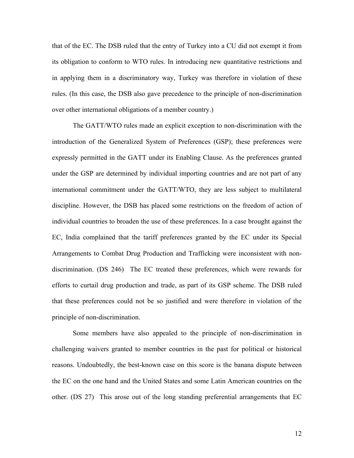that of the EC. The DSB ruled that the entry of Turkey into a CU did not exempt it from its obligation to conform to WTO rules. In introducing new quantitative restrictions and in applying them in a discriminatory way, Turkey was therefore in violation of these rules. (In this case, the DSB also gave precedence to the principle of non-discrimination over other international obligations of a member country.)

The GATT/WTO rules made an explicit exception to non-discrimination with the introduction of the Generalized System of Preferences (GSP); these preferences were expressly permitted in the GATT under its Enabling Clause. As the preferences granted under the GSP are determined by individual importing countries and are not part of any international commitment under the GATT/WTO, they are less subject to multilateral discipline. However, the DSB has placed some restrictions on the freedom of action of individual countries to broaden the use of these preferences. In a case brought against the EC, India complained that the tariff preferences granted by the EC under its Special Arrangements to Combat Drug Production and Trafficking were inconsistent with nondiscrimination. (DS 246) The EC treated these preferences, which were rewards for efforts to curtail drug production and trade, as part of its GSP scheme. The DSB ruled that these preferences could not be so justified and were therefore in violation of the principle of non-discrimination.

Some members have also appealed to the principle of non-discrimination in challenging waivers granted to member countries in the past for political or historical reasons. Undoubtedly, the best-known case on this score is the banana dispute between the EC on the one hand and the United States and some Latin American countries on the other. (DS 27) This arose out of the long standing preferential arrangements that EC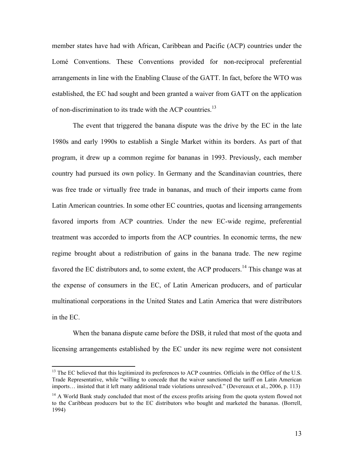member states have had with African, Caribbean and Pacific (ACP) countries under the Lomé Conventions. These Conventions provided for non-reciprocal preferential arrangements in line with the Enabling Clause of the GATT. In fact, before the WTO was established, the EC had sought and been granted a waiver from GATT on the application of non-discrimination to its trade with the ACP countries.<sup>13</sup>

The event that triggered the banana dispute was the drive by the EC in the late 1980s and early 1990s to establish a Single Market within its borders. As part of that program, it drew up a common regime for bananas in 1993. Previously, each member country had pursued its own policy. In Germany and the Scandinavian countries, there was free trade or virtually free trade in bananas, and much of their imports came from Latin American countries. In some other EC countries, quotas and licensing arrangements favored imports from ACP countries. Under the new EC-wide regime, preferential treatment was accorded to imports from the ACP countries. In economic terms, the new regime brought about a redistribution of gains in the banana trade. The new regime favored the EC distributors and, to some extent, the ACP producers.<sup>14</sup> This change was at the expense of consumers in the EC, of Latin American producers, and of particular multinational corporations in the United States and Latin America that were distributors in the EC.

When the banana dispute came before the DSB, it ruled that most of the quota and licensing arrangements established by the EC under its new regime were not consistent

<sup>&</sup>lt;sup>13</sup> The EC believed that this legitimized its preferences to ACP countries. Officials in the Office of the U.S. Trade Representative, while "willing to concede that the waiver sanctioned the tariff on Latin American imports… insisted that it left many additional trade violations unresolved." (Devereaux et al., 2006, p. 113)

 $14$  A World Bank study concluded that most of the excess profits arising from the quota system flowed not to the Caribbean producers but to the EC distributors who bought and marketed the bananas. (Borrell, 1994)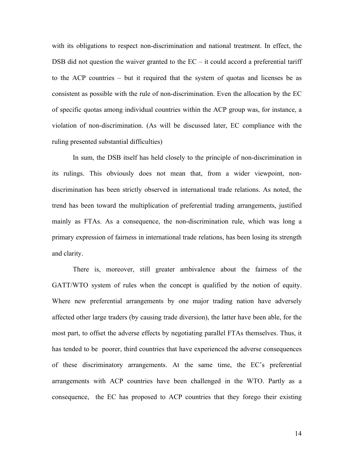with its obligations to respect non-discrimination and national treatment. In effect, the DSB did not question the waiver granted to the  $EC - it$  could accord a preferential tariff to the ACP countries – but it required that the system of quotas and licenses be as consistent as possible with the rule of non-discrimination. Even the allocation by the EC of specific quotas among individual countries within the ACP group was, for instance, a violation of non-discrimination. (As will be discussed later, EC compliance with the ruling presented substantial difficulties)

In sum, the DSB itself has held closely to the principle of non-discrimination in its rulings. This obviously does not mean that, from a wider viewpoint, nondiscrimination has been strictly observed in international trade relations. As noted, the trend has been toward the multiplication of preferential trading arrangements, justified mainly as FTAs. As a consequence, the non-discrimination rule, which was long a primary expression of fairness in international trade relations, has been losing its strength and clarity.

There is, moreover, still greater ambivalence about the fairness of the GATT/WTO system of rules when the concept is qualified by the notion of equity. Where new preferential arrangements by one major trading nation have adversely affected other large traders (by causing trade diversion), the latter have been able, for the most part, to offset the adverse effects by negotiating parallel FTAs themselves. Thus, it has tended to be poorer, third countries that have experienced the adverse consequences of these discriminatory arrangements. At the same time, the EC's preferential arrangements with ACP countries have been challenged in the WTO. Partly as a consequence, the EC has proposed to ACP countries that they forego their existing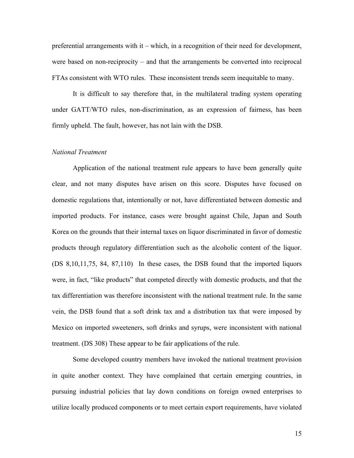preferential arrangements with it – which, in a recognition of their need for development, were based on non-reciprocity – and that the arrangements be converted into reciprocal FTAs consistent with WTO rules. These inconsistent trends seem inequitable to many.

It is difficult to say therefore that, in the multilateral trading system operating under GATT/WTO rules, non-discrimination, as an expression of fairness, has been firmly upheld. The fault, however, has not lain with the DSB.

#### *National Treatment*

Application of the national treatment rule appears to have been generally quite clear, and not many disputes have arisen on this score. Disputes have focused on domestic regulations that, intentionally or not, have differentiated between domestic and imported products. For instance, cases were brought against Chile, Japan and South Korea on the grounds that their internal taxes on liquor discriminated in favor of domestic products through regulatory differentiation such as the alcoholic content of the liquor. (DS 8,10,11,75, 84, 87,110) In these cases, the DSB found that the imported liquors were, in fact, "like products" that competed directly with domestic products, and that the tax differentiation was therefore inconsistent with the national treatment rule. In the same vein, the DSB found that a soft drink tax and a distribution tax that were imposed by Mexico on imported sweeteners, soft drinks and syrups, were inconsistent with national treatment. (DS 308) These appear to be fair applications of the rule.

Some developed country members have invoked the national treatment provision in quite another context. They have complained that certain emerging countries, in pursuing industrial policies that lay down conditions on foreign owned enterprises to utilize locally produced components or to meet certain export requirements, have violated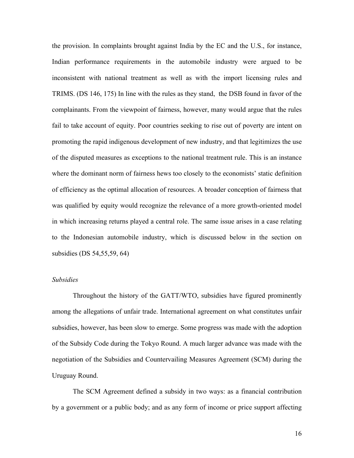the provision. In complaints brought against India by the EC and the U.S., for instance, Indian performance requirements in the automobile industry were argued to be inconsistent with national treatment as well as with the import licensing rules and TRIMS. (DS 146, 175) In line with the rules as they stand, the DSB found in favor of the complainants. From the viewpoint of fairness, however, many would argue that the rules fail to take account of equity. Poor countries seeking to rise out of poverty are intent on promoting the rapid indigenous development of new industry, and that legitimizes the use of the disputed measures as exceptions to the national treatment rule. This is an instance where the dominant norm of fairness hews too closely to the economists' static definition of efficiency as the optimal allocation of resources. A broader conception of fairness that was qualified by equity would recognize the relevance of a more growth-oriented model in which increasing returns played a central role. The same issue arises in a case relating to the Indonesian automobile industry, which is discussed below in the section on subsidies (DS 54,55,59, 64)

# *Subsidies*

Throughout the history of the GATT/WTO, subsidies have figured prominently among the allegations of unfair trade. International agreement on what constitutes unfair subsidies, however, has been slow to emerge. Some progress was made with the adoption of the Subsidy Code during the Tokyo Round. A much larger advance was made with the negotiation of the Subsidies and Countervailing Measures Agreement (SCM) during the Uruguay Round.

The SCM Agreement defined a subsidy in two ways: as a financial contribution by a government or a public body; and as any form of income or price support affecting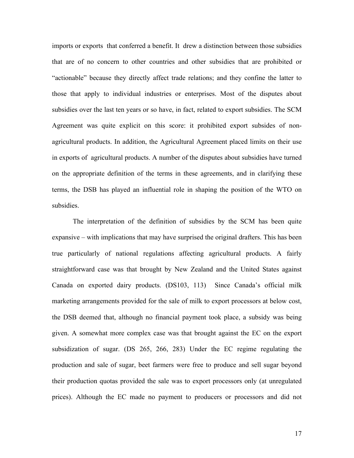imports or exports that conferred a benefit. It drew a distinction between those subsidies that are of no concern to other countries and other subsidies that are prohibited or "actionable" because they directly affect trade relations; and they confine the latter to those that apply to individual industries or enterprises. Most of the disputes about subsidies over the last ten years or so have, in fact, related to export subsidies. The SCM Agreement was quite explicit on this score: it prohibited export subsides of nonagricultural products. In addition, the Agricultural Agreement placed limits on their use in exports of agricultural products. A number of the disputes about subsidies have turned on the appropriate definition of the terms in these agreements, and in clarifying these terms, the DSB has played an influential role in shaping the position of the WTO on subsidies.

The interpretation of the definition of subsidies by the SCM has been quite expansive – with implications that may have surprised the original drafters. This has been true particularly of national regulations affecting agricultural products. A fairly straightforward case was that brought by New Zealand and the United States against Canada on exported dairy products. (DS103, 113) Since Canada's official milk marketing arrangements provided for the sale of milk to export processors at below cost, the DSB deemed that, although no financial payment took place, a subsidy was being given. A somewhat more complex case was that brought against the EC on the export subsidization of sugar. (DS 265, 266, 283) Under the EC regime regulating the production and sale of sugar, beet farmers were free to produce and sell sugar beyond their production quotas provided the sale was to export processors only (at unregulated prices). Although the EC made no payment to producers or processors and did not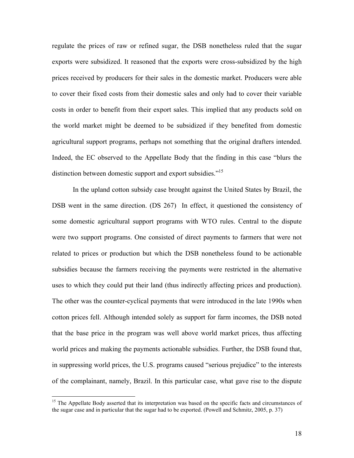regulate the prices of raw or refined sugar, the DSB nonetheless ruled that the sugar exports were subsidized. It reasoned that the exports were cross-subsidized by the high prices received by producers for their sales in the domestic market. Producers were able to cover their fixed costs from their domestic sales and only had to cover their variable costs in order to benefit from their export sales. This implied that any products sold on the world market might be deemed to be subsidized if they benefited from domestic agricultural support programs, perhaps not something that the original drafters intended. Indeed, the EC observed to the Appellate Body that the finding in this case "blurs the distinction between domestic support and export subsidies."<sup>15</sup>

In the upland cotton subsidy case brought against the United States by Brazil, the DSB went in the same direction. (DS 267) In effect, it questioned the consistency of some domestic agricultural support programs with WTO rules. Central to the dispute were two support programs. One consisted of direct payments to farmers that were not related to prices or production but which the DSB nonetheless found to be actionable subsidies because the farmers receiving the payments were restricted in the alternative uses to which they could put their land (thus indirectly affecting prices and production). The other was the counter-cyclical payments that were introduced in the late 1990s when cotton prices fell. Although intended solely as support for farm incomes, the DSB noted that the base price in the program was well above world market prices, thus affecting world prices and making the payments actionable subsidies. Further, the DSB found that, in suppressing world prices, the U.S. programs caused "serious prejudice" to the interests of the complainant, namely, Brazil. In this particular case, what gave rise to the dispute

<sup>&</sup>lt;sup>15</sup> The Appellate Body asserted that its interpretation was based on the specific facts and circumstances of the sugar case and in particular that the sugar had to be exported. (Powell and Schmitz, 2005, p. 37)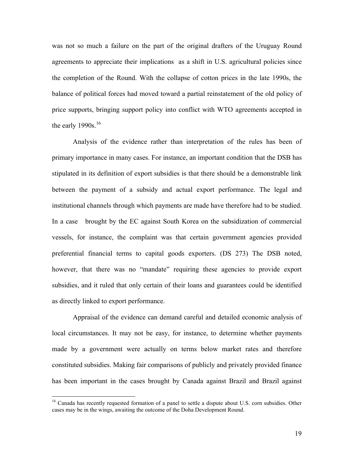was not so much a failure on the part of the original drafters of the Uruguay Round agreements to appreciate their implications as a shift in U.S. agricultural policies since the completion of the Round. With the collapse of cotton prices in the late 1990s, the balance of political forces had moved toward a partial reinstatement of the old policy of price supports, bringing support policy into conflict with WTO agreements accepted in the early  $1990s$ <sup>16</sup>

Analysis of the evidence rather than interpretation of the rules has been of primary importance in many cases. For instance, an important condition that the DSB has stipulated in its definition of export subsidies is that there should be a demonstrable link between the payment of a subsidy and actual export performance. The legal and institutional channels through which payments are made have therefore had to be studied. In a case brought by the EC against South Korea on the subsidization of commercial vessels, for instance, the complaint was that certain government agencies provided preferential financial terms to capital goods exporters. (DS 273) The DSB noted, however, that there was no "mandate" requiring these agencies to provide export subsidies, and it ruled that only certain of their loans and guarantees could be identified as directly linked to export performance.

Appraisal of the evidence can demand careful and detailed economic analysis of local circumstances. It may not be easy, for instance, to determine whether payments made by a government were actually on terms below market rates and therefore constituted subsidies. Making fair comparisons of publicly and privately provided finance has been important in the cases brought by Canada against Brazil and Brazil against

<sup>&</sup>lt;sup>16</sup> Canada has recently requested formation of a panel to settle a dispute about U.S. corn subsidies. Other cases may be in the wings, awaiting the outcome of the Doha Development Round.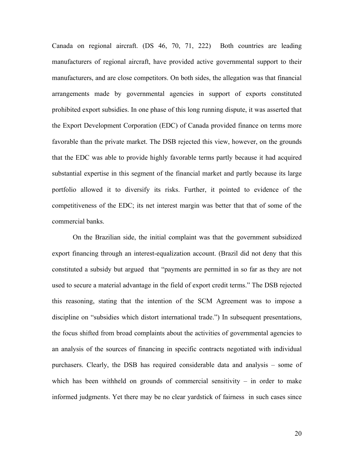Canada on regional aircraft. (DS 46, 70, 71, 222) Both countries are leading manufacturers of regional aircraft, have provided active governmental support to their manufacturers, and are close competitors. On both sides, the allegation was that financial arrangements made by governmental agencies in support of exports constituted prohibited export subsidies. In one phase of this long running dispute, it was asserted that the Export Development Corporation (EDC) of Canada provided finance on terms more favorable than the private market. The DSB rejected this view, however, on the grounds that the EDC was able to provide highly favorable terms partly because it had acquired substantial expertise in this segment of the financial market and partly because its large portfolio allowed it to diversify its risks. Further, it pointed to evidence of the competitiveness of the EDC; its net interest margin was better that that of some of the commercial banks.

On the Brazilian side, the initial complaint was that the government subsidized export financing through an interest-equalization account. (Brazil did not deny that this constituted a subsidy but argued that "payments are permitted in so far as they are not used to secure a material advantage in the field of export credit terms." The DSB rejected this reasoning, stating that the intention of the SCM Agreement was to impose a discipline on "subsidies which distort international trade.") In subsequent presentations, the focus shifted from broad complaints about the activities of governmental agencies to an analysis of the sources of financing in specific contracts negotiated with individual purchasers. Clearly, the DSB has required considerable data and analysis – some of which has been withheld on grounds of commercial sensitivity  $-$  in order to make informed judgments. Yet there may be no clear yardstick of fairness in such cases since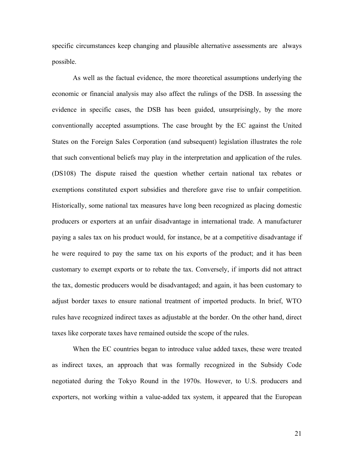specific circumstances keep changing and plausible alternative assessments are always possible.

As well as the factual evidence, the more theoretical assumptions underlying the economic or financial analysis may also affect the rulings of the DSB. In assessing the evidence in specific cases, the DSB has been guided, unsurprisingly, by the more conventionally accepted assumptions. The case brought by the EC against the United States on the Foreign Sales Corporation (and subsequent) legislation illustrates the role that such conventional beliefs may play in the interpretation and application of the rules. (DS108) The dispute raised the question whether certain national tax rebates or exemptions constituted export subsidies and therefore gave rise to unfair competition. Historically, some national tax measures have long been recognized as placing domestic producers or exporters at an unfair disadvantage in international trade. A manufacturer paying a sales tax on his product would, for instance, be at a competitive disadvantage if he were required to pay the same tax on his exports of the product; and it has been customary to exempt exports or to rebate the tax. Conversely, if imports did not attract the tax, domestic producers would be disadvantaged; and again, it has been customary to adjust border taxes to ensure national treatment of imported products. In brief, WTO rules have recognized indirect taxes as adjustable at the border. On the other hand, direct taxes like corporate taxes have remained outside the scope of the rules.

When the EC countries began to introduce value added taxes, these were treated as indirect taxes, an approach that was formally recognized in the Subsidy Code negotiated during the Tokyo Round in the 1970s. However, to U.S. producers and exporters, not working within a value-added tax system, it appeared that the European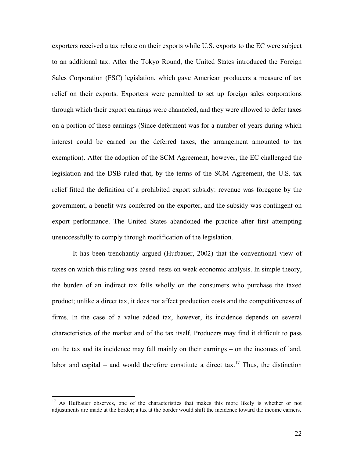exporters received a tax rebate on their exports while U.S. exports to the EC were subject to an additional tax. After the Tokyo Round, the United States introduced the Foreign Sales Corporation (FSC) legislation, which gave American producers a measure of tax relief on their exports. Exporters were permitted to set up foreign sales corporations through which their export earnings were channeled, and they were allowed to defer taxes on a portion of these earnings (Since deferment was for a number of years during which interest could be earned on the deferred taxes, the arrangement amounted to tax exemption). After the adoption of the SCM Agreement, however, the EC challenged the legislation and the DSB ruled that, by the terms of the SCM Agreement, the U.S. tax relief fitted the definition of a prohibited export subsidy: revenue was foregone by the government, a benefit was conferred on the exporter, and the subsidy was contingent on export performance. The United States abandoned the practice after first attempting unsuccessfully to comply through modification of the legislation.

It has been trenchantly argued (Hufbauer, 2002) that the conventional view of taxes on which this ruling was based rests on weak economic analysis. In simple theory, the burden of an indirect tax falls wholly on the consumers who purchase the taxed product; unlike a direct tax, it does not affect production costs and the competitiveness of firms. In the case of a value added tax, however, its incidence depends on several characteristics of the market and of the tax itself. Producers may find it difficult to pass on the tax and its incidence may fall mainly on their earnings – on the incomes of land, labor and capital – and would therefore constitute a direct tax.<sup>17</sup> Thus, the distinction

<sup>&</sup>lt;sup>17</sup> As Hufbauer observes, one of the characteristics that makes this more likely is whether or not adjustments are made at the border; a tax at the border would shift the incidence toward the income earners.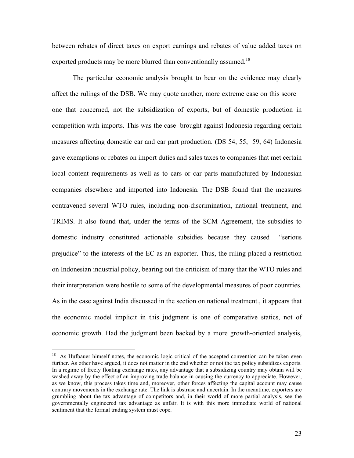between rebates of direct taxes on export earnings and rebates of value added taxes on exported products may be more blurred than conventionally assumed.<sup>18</sup>

The particular economic analysis brought to bear on the evidence may clearly affect the rulings of the DSB. We may quote another, more extreme case on this score – one that concerned, not the subsidization of exports, but of domestic production in competition with imports. This was the case brought against Indonesia regarding certain measures affecting domestic car and car part production. (DS 54, 55, 59, 64) Indonesia gave exemptions or rebates on import duties and sales taxes to companies that met certain local content requirements as well as to cars or car parts manufactured by Indonesian companies elsewhere and imported into Indonesia. The DSB found that the measures contravened several WTO rules, including non-discrimination, national treatment, and TRIMS. It also found that, under the terms of the SCM Agreement, the subsidies to domestic industry constituted actionable subsidies because they caused "serious prejudice" to the interests of the EC as an exporter. Thus, the ruling placed a restriction on Indonesian industrial policy, bearing out the criticism of many that the WTO rules and their interpretation were hostile to some of the developmental measures of poor countries. As in the case against India discussed in the section on national treatment., it appears that the economic model implicit in this judgment is one of comparative statics, not of economic growth. Had the judgment been backed by a more growth-oriented analysis,

<sup>&</sup>lt;sup>18</sup> As Hufbauer himself notes, the economic logic critical of the accepted convention can be taken even further. As other have argued, it does not matter in the end whether or not the tax policy subsidizes exports. In a regime of freely floating exchange rates, any advantage that a subsidizing country may obtain will be washed away by the effect of an improving trade balance in causing the currency to appreciate. However, as we know, this process takes time and, moreover, other forces affecting the capital account may cause contrary movements in the exchange rate. The link is abstruse and uncertain. In the meantime, exporters are grumbling about the tax advantage of competitors and, in their world of more partial analysis, see the governmentally engineered tax advantage as unfair. It is with this more immediate world of national sentiment that the formal trading system must cope.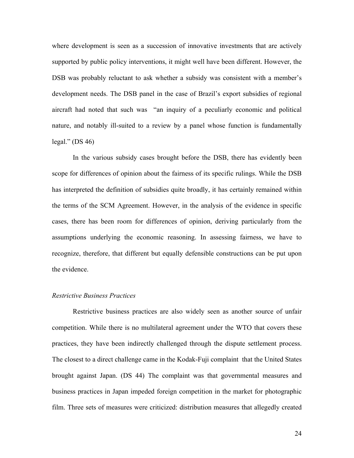where development is seen as a succession of innovative investments that are actively supported by public policy interventions, it might well have been different. However, the DSB was probably reluctant to ask whether a subsidy was consistent with a member's development needs. The DSB panel in the case of Brazil's export subsidies of regional aircraft had noted that such was "an inquiry of a peculiarly economic and political nature, and notably ill-suited to a review by a panel whose function is fundamentally legal." (DS 46)

In the various subsidy cases brought before the DSB, there has evidently been scope for differences of opinion about the fairness of its specific rulings. While the DSB has interpreted the definition of subsidies quite broadly, it has certainly remained within the terms of the SCM Agreement. However, in the analysis of the evidence in specific cases, there has been room for differences of opinion, deriving particularly from the assumptions underlying the economic reasoning. In assessing fairness, we have to recognize, therefore, that different but equally defensible constructions can be put upon the evidence.

# *Restrictive Business Practices*

Restrictive business practices are also widely seen as another source of unfair competition. While there is no multilateral agreement under the WTO that covers these practices, they have been indirectly challenged through the dispute settlement process. The closest to a direct challenge came in the Kodak-Fuji complaint that the United States brought against Japan. (DS 44) The complaint was that governmental measures and business practices in Japan impeded foreign competition in the market for photographic film. Three sets of measures were criticized: distribution measures that allegedly created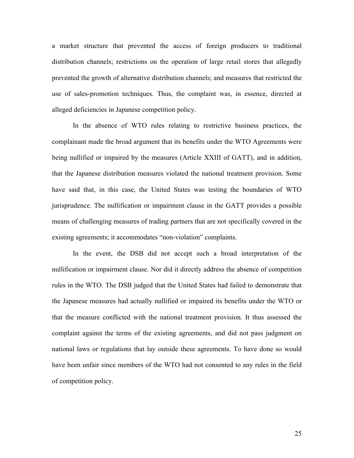a market structure that prevented the access of foreign producers to traditional distribution channels; restrictions on the operation of large retail stores that allegedly prevented the growth of alternative distribution channels; and measures that restricted the use of sales-promotion techniques. Thus, the complaint was, in essence, directed at alleged deficiencies in Japanese competition policy.

In the absence of WTO rules relating to restrictive business practices, the complainant made the broad argument that its benefits under the WTO Agreements were being nullified or impaired by the measures (Article XXIII of GATT), and in addition, that the Japanese distribution measures violated the national treatment provision. Some have said that, in this case, the United States was testing the boundaries of WTO jurisprudence. The nullification or impairment clause in the GATT provides a possible means of challenging measures of trading partners that are not specifically covered in the existing agreements; it accommodates "non-violation" complaints.

In the event, the DSB did not accept such a broad interpretation of the nullification or impairment clause. Nor did it directly address the absence of competition rules in the WTO. The DSB judged that the United States had failed to demonstrate that the Japanese measures had actually nullified or impaired its benefits under the WTO or that the measure conflicted with the national treatment provision. It thus assessed the complaint against the terms of the existing agreements, and did not pass judgment on national laws or regulations that lay outside these agreements. To have done so would have been unfair since members of the WTO had not consented to any rules in the field of competition policy.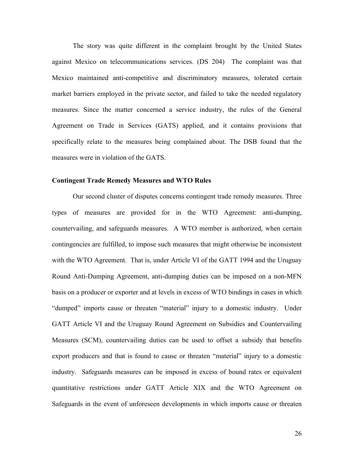The story was quite different in the complaint brought by the United States against Mexico on telecommunications services. (DS 204) The complaint was that Mexico maintained anti-competitive and discriminatory measures, tolerated certain market barriers employed in the private sector, and failed to take the needed regulatory measures. Since the matter concerned a service industry, the rules of the General Agreement on Trade in Services (GATS) applied, and it contains provisions that specifically relate to the measures being complained about. The DSB found that the measures were in violation of the GATS.

#### **Contingent Trade Remedy Measures and WTO Rules**

Our second cluster of disputes concerns contingent trade remedy measures. Three types of measures are provided for in the WTO Agreement: anti-dumping, countervailing, and safeguards measures. A WTO member is authorized, when certain contingencies are fulfilled, to impose such measures that might otherwise be inconsistent with the WTO Agreement. That is, under Article VI of the GATT 1994 and the Uruguay Round Anti-Dumping Agreement, anti-dumping duties can be imposed on a non-MFN basis on a producer or exporter and at levels in excess of WTO bindings in cases in which "dumped" imports cause or threaten "material" injury to a domestic industry. Under GATT Article VI and the Uruguay Round Agreement on Subsidies and Countervailing Measures (SCM), countervailing duties can be used to offset a subsidy that benefits export producers and that is found to cause or threaten "material" injury to a domestic industry. Safeguards measures can be imposed in excess of bound rates or equivalent quantitative restrictions under GATT Article XIX and the WTO Agreement on Safeguards in the event of unforeseen developments in which imports cause or threaten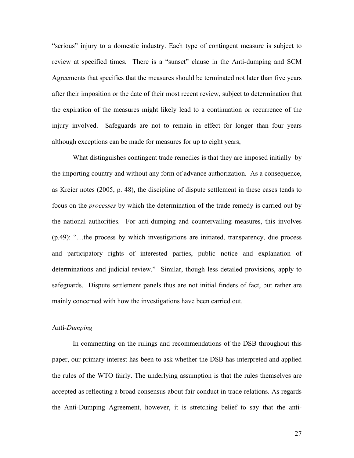"serious" injury to a domestic industry. Each type of contingent measure is subject to review at specified times. There is a "sunset" clause in the Anti-dumping and SCM Agreements that specifies that the measures should be terminated not later than five years after their imposition or the date of their most recent review, subject to determination that the expiration of the measures might likely lead to a continuation or recurrence of the injury involved. Safeguards are not to remain in effect for longer than four years although exceptions can be made for measures for up to eight years,

What distinguishes contingent trade remedies is that they are imposed initially by the importing country and without any form of advance authorization. As a consequence, as Kreier notes (2005, p. 48), the discipline of dispute settlement in these cases tends to focus on the *processes* by which the determination of the trade remedy is carried out by the national authorities. For anti-dumping and countervailing measures, this involves (p.49): "…the process by which investigations are initiated, transparency, due process and participatory rights of interested parties, public notice and explanation of determinations and judicial review." Similar, though less detailed provisions, apply to safeguards. Dispute settlement panels thus are not initial finders of fact, but rather are mainly concerned with how the investigations have been carried out.

#### Anti*-Dumping*

In commenting on the rulings and recommendations of the DSB throughout this paper, our primary interest has been to ask whether the DSB has interpreted and applied the rules of the WTO fairly. The underlying assumption is that the rules themselves are accepted as reflecting a broad consensus about fair conduct in trade relations. As regards the Anti-Dumping Agreement, however, it is stretching belief to say that the anti-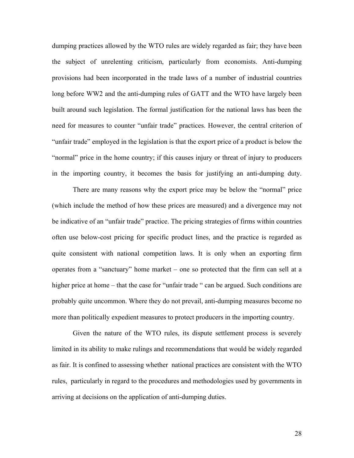dumping practices allowed by the WTO rules are widely regarded as fair; they have been the subject of unrelenting criticism, particularly from economists. Anti-dumping provisions had been incorporated in the trade laws of a number of industrial countries long before WW2 and the anti-dumping rules of GATT and the WTO have largely been built around such legislation. The formal justification for the national laws has been the need for measures to counter "unfair trade" practices. However, the central criterion of "unfair trade" employed in the legislation is that the export price of a product is below the "normal" price in the home country; if this causes injury or threat of injury to producers in the importing country, it becomes the basis for justifying an anti-dumping duty.

There are many reasons why the export price may be below the "normal" price (which include the method of how these prices are measured) and a divergence may not be indicative of an "unfair trade" practice. The pricing strategies of firms within countries often use below-cost pricing for specific product lines, and the practice is regarded as quite consistent with national competition laws. It is only when an exporting firm operates from a "sanctuary" home market – one so protected that the firm can sell at a higher price at home – that the case for "unfair trade " can be argued. Such conditions are probably quite uncommon. Where they do not prevail, anti-dumping measures become no more than politically expedient measures to protect producers in the importing country.

Given the nature of the WTO rules, its dispute settlement process is severely limited in its ability to make rulings and recommendations that would be widely regarded as fair. It is confined to assessing whether national practices are consistent with the WTO rules, particularly in regard to the procedures and methodologies used by governments in arriving at decisions on the application of anti-dumping duties.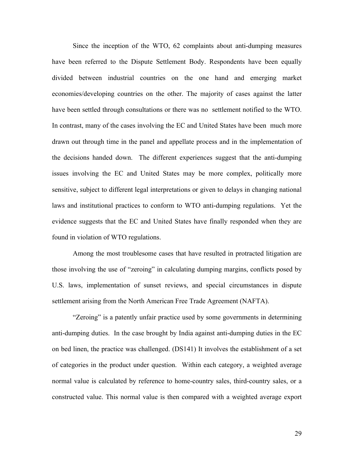Since the inception of the WTO, 62 complaints about anti-dumping measures have been referred to the Dispute Settlement Body. Respondents have been equally divided between industrial countries on the one hand and emerging market economies/developing countries on the other. The majority of cases against the latter have been settled through consultations or there was no settlement notified to the WTO. In contrast, many of the cases involving the EC and United States have been much more drawn out through time in the panel and appellate process and in the implementation of the decisions handed down. The different experiences suggest that the anti-dumping issues involving the EC and United States may be more complex, politically more sensitive, subject to different legal interpretations or given to delays in changing national laws and institutional practices to conform to WTO anti-dumping regulations. Yet the evidence suggests that the EC and United States have finally responded when they are found in violation of WTO regulations.

Among the most troublesome cases that have resulted in protracted litigation are those involving the use of "zeroing" in calculating dumping margins, conflicts posed by U.S. laws, implementation of sunset reviews, and special circumstances in dispute settlement arising from the North American Free Trade Agreement (NAFTA).

"Zeroing" is a patently unfair practice used by some governments in determining anti-dumping duties. In the case brought by India against anti-dumping duties in the EC on bed linen, the practice was challenged. (DS141) It involves the establishment of a set of categories in the product under question. Within each category, a weighted average normal value is calculated by reference to home-country sales, third-country sales, or a constructed value. This normal value is then compared with a weighted average export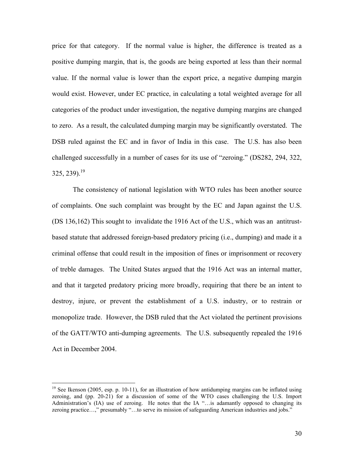price for that category. If the normal value is higher, the difference is treated as a positive dumping margin, that is, the goods are being exported at less than their normal value. If the normal value is lower than the export price, a negative dumping margin would exist. However, under EC practice, in calculating a total weighted average for all categories of the product under investigation, the negative dumping margins are changed to zero. As a result, the calculated dumping margin may be significantly overstated. The DSB ruled against the EC and in favor of India in this case. The U.S. has also been challenged successfully in a number of cases for its use of "zeroing." (DS282, 294, 322,  $325, 239$ <sup>19</sup>

The consistency of national legislation with WTO rules has been another source of complaints. One such complaint was brought by the EC and Japan against the U.S. (DS 136,162) This sought to invalidate the 1916 Act of the U.S., which was an antitrustbased statute that addressed foreign-based predatory pricing (i.e., dumping) and made it a criminal offense that could result in the imposition of fines or imprisonment or recovery of treble damages. The United States argued that the 1916 Act was an internal matter, and that it targeted predatory pricing more broadly, requiring that there be an intent to destroy, injure, or prevent the establishment of a U.S. industry, or to restrain or monopolize trade. However, the DSB ruled that the Act violated the pertinent provisions of the GATT/WTO anti-dumping agreements. The U.S. subsequently repealed the 1916 Act in December 2004.

<sup>&</sup>lt;sup>19</sup> See Ikenson (2005, esp. p. 10-11), for an illustration of how antidumping margins can be inflated using zeroing, and (pp. 20-21) for a discussion of some of the WTO cases challenging the U.S. Import Administration's (IA) use of zeroing. He notes that the IA "...is adamantly opposed to changing its zeroing practice...," presumably "...to serve its mission of safeguarding American industries and jobs."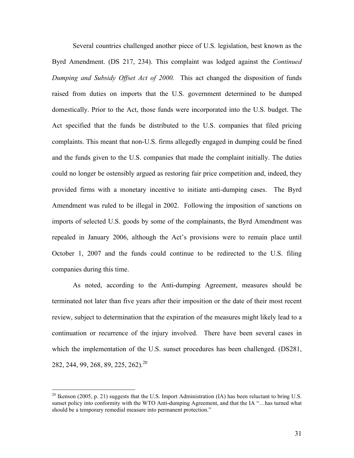Several countries challenged another piece of U.S. legislation, best known as the Byrd Amendment. (DS 217, 234). This complaint was lodged against the *Continued Dumping and Subsidy Offset Act of 2000.* This act changed the disposition of funds raised from duties on imports that the U.S. government determined to be dumped domestically. Prior to the Act, those funds were incorporated into the U.S. budget. The Act specified that the funds be distributed to the U.S. companies that filed pricing complaints. This meant that non-U.S. firms allegedly engaged in dumping could be fined and the funds given to the U.S. companies that made the complaint initially. The duties could no longer be ostensibly argued as restoring fair price competition and, indeed, they provided firms with a monetary incentive to initiate anti-dumping cases. The Byrd Amendment was ruled to be illegal in 2002. Following the imposition of sanctions on imports of selected U.S. goods by some of the complainants, the Byrd Amendment was repealed in January 2006, although the Act's provisions were to remain place until October 1, 2007 and the funds could continue to be redirected to the U.S. filing companies during this time.

As noted, according to the Anti-dumping Agreement, measures should be terminated not later than five years after their imposition or the date of their most recent review, subject to determination that the expiration of the measures might likely lead to a continuation or recurrence of the injury involved. There have been several cases in which the implementation of the U.S. sunset procedures has been challenged. (DS281, 282, 244, 99, 268, 89, 225, 262).<sup>20</sup>

<sup>&</sup>lt;sup>20</sup> Ikenson (2005, p. 21) suggests that the U.S. Import Administration (IA) has been reluctant to bring U.S. sunset policy into conformity with the WTO Anti-dumping Agreement, and that the IA "…has turned what should be a temporary remedial measure into permanent protection."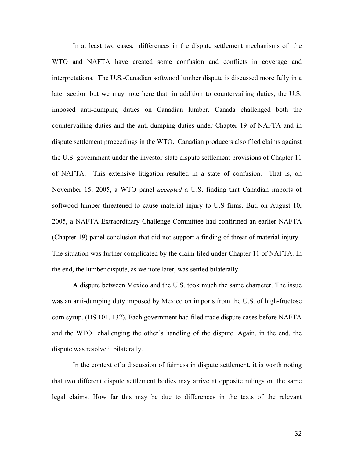In at least two cases, differences in the dispute settlement mechanisms of the WTO and NAFTA have created some confusion and conflicts in coverage and interpretations. The U.S.-Canadian softwood lumber dispute is discussed more fully in a later section but we may note here that, in addition to countervailing duties, the U.S. imposed anti-dumping duties on Canadian lumber. Canada challenged both the countervailing duties and the anti-dumping duties under Chapter 19 of NAFTA and in dispute settlement proceedings in the WTO. Canadian producers also filed claims against the U.S. government under the investor-state dispute settlement provisions of Chapter 11 of NAFTA. This extensive litigation resulted in a state of confusion. That is, on November 15, 2005, a WTO panel *accepted* a U.S. finding that Canadian imports of softwood lumber threatened to cause material injury to U.S firms. But, on August 10, 2005, a NAFTA Extraordinary Challenge Committee had confirmed an earlier NAFTA (Chapter 19) panel conclusion that did not support a finding of threat of material injury. The situation was further complicated by the claim filed under Chapter 11 of NAFTA. In the end, the lumber dispute, as we note later, was settled bilaterally.

A dispute between Mexico and the U.S. took much the same character. The issue was an anti-dumping duty imposed by Mexico on imports from the U.S. of high-fructose corn syrup. (DS 101, 132). Each government had filed trade dispute cases before NAFTA and the WTO challenging the other's handling of the dispute. Again, in the end, the dispute was resolved bilaterally.

In the context of a discussion of fairness in dispute settlement, it is worth noting that two different dispute settlement bodies may arrive at opposite rulings on the same legal claims. How far this may be due to differences in the texts of the relevant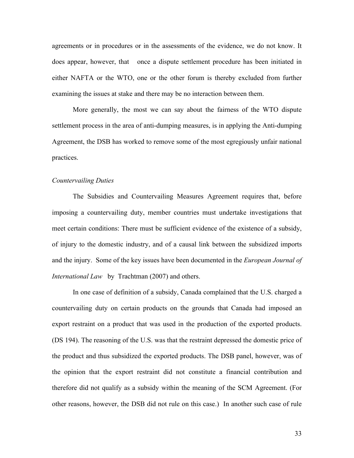agreements or in procedures or in the assessments of the evidence, we do not know. It does appear, however, that once a dispute settlement procedure has been initiated in either NAFTA or the WTO, one or the other forum is thereby excluded from further examining the issues at stake and there may be no interaction between them.

More generally, the most we can say about the fairness of the WTO dispute settlement process in the area of anti-dumping measures, is in applying the Anti-dumping Agreement, the DSB has worked to remove some of the most egregiously unfair national practices.

#### *Countervailing Duties*

The Subsidies and Countervailing Measures Agreement requires that, before imposing a countervailing duty, member countries must undertake investigations that meet certain conditions: There must be sufficient evidence of the existence of a subsidy, of injury to the domestic industry, and of a causal link between the subsidized imports and the injury. Some of the key issues have been documented in the *European Journal of International Law* by Trachtman (2007) and others.

In one case of definition of a subsidy, Canada complained that the U.S. charged a countervailing duty on certain products on the grounds that Canada had imposed an export restraint on a product that was used in the production of the exported products. (DS 194). The reasoning of the U.S. was that the restraint depressed the domestic price of the product and thus subsidized the exported products. The DSB panel, however, was of the opinion that the export restraint did not constitute a financial contribution and therefore did not qualify as a subsidy within the meaning of the SCM Agreement. (For other reasons, however, the DSB did not rule on this case.) In another such case of rule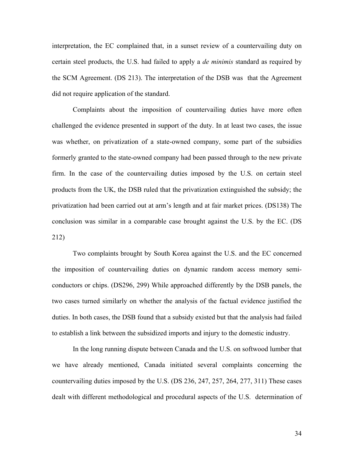interpretation, the EC complained that, in a sunset review of a countervailing duty on certain steel products, the U.S. had failed to apply a *de minimis* standard as required by the SCM Agreement. (DS 213). The interpretation of the DSB was that the Agreement did not require application of the standard.

Complaints about the imposition of countervailing duties have more often challenged the evidence presented in support of the duty. In at least two cases, the issue was whether, on privatization of a state-owned company, some part of the subsidies formerly granted to the state-owned company had been passed through to the new private firm. In the case of the countervailing duties imposed by the U.S. on certain steel products from the UK, the DSB ruled that the privatization extinguished the subsidy; the privatization had been carried out at arm's length and at fair market prices. (DS138) The conclusion was similar in a comparable case brought against the U.S. by the EC. (DS 212)

Two complaints brought by South Korea against the U.S. and the EC concerned the imposition of countervailing duties on dynamic random access memory semiconductors or chips. (DS296, 299) While approached differently by the DSB panels, the two cases turned similarly on whether the analysis of the factual evidence justified the duties. In both cases, the DSB found that a subsidy existed but that the analysis had failed to establish a link between the subsidized imports and injury to the domestic industry.

In the long running dispute between Canada and the U.S. on softwood lumber that we have already mentioned, Canada initiated several complaints concerning the countervailing duties imposed by the U.S. (DS 236, 247, 257, 264, 277, 311) These cases dealt with different methodological and procedural aspects of the U.S. determination of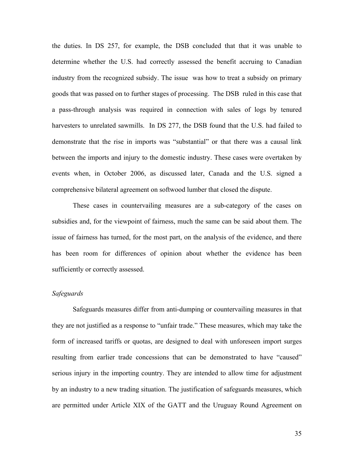the duties. In DS 257, for example, the DSB concluded that that it was unable to determine whether the U.S. had correctly assessed the benefit accruing to Canadian industry from the recognized subsidy. The issue was how to treat a subsidy on primary goods that was passed on to further stages of processing. The DSB ruled in this case that a pass-through analysis was required in connection with sales of logs by tenured harvesters to unrelated sawmills. In DS 277, the DSB found that the U.S. had failed to demonstrate that the rise in imports was "substantial" or that there was a causal link between the imports and injury to the domestic industry. These cases were overtaken by events when, in October 2006, as discussed later, Canada and the U.S. signed a comprehensive bilateral agreement on softwood lumber that closed the dispute.

These cases in countervailing measures are a sub-category of the cases on subsidies and, for the viewpoint of fairness, much the same can be said about them. The issue of fairness has turned, for the most part, on the analysis of the evidence, and there has been room for differences of opinion about whether the evidence has been sufficiently or correctly assessed.

# *Safeguards*

Safeguards measures differ from anti-dumping or countervailing measures in that they are not justified as a response to "unfair trade." These measures, which may take the form of increased tariffs or quotas, are designed to deal with unforeseen import surges resulting from earlier trade concessions that can be demonstrated to have "caused" serious injury in the importing country. They are intended to allow time for adjustment by an industry to a new trading situation. The justification of safeguards measures, which are permitted under Article XIX of the GATT and the Uruguay Round Agreement on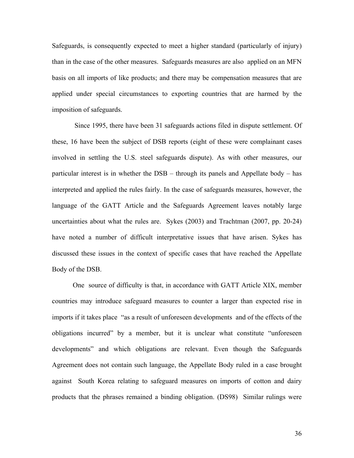Safeguards, is consequently expected to meet a higher standard (particularly of injury) than in the case of the other measures. Safeguards measures are also applied on an MFN basis on all imports of like products; and there may be compensation measures that are applied under special circumstances to exporting countries that are harmed by the imposition of safeguards.

 Since 1995, there have been 31 safeguards actions filed in dispute settlement. Of these, 16 have been the subject of DSB reports (eight of these were complainant cases involved in settling the U.S. steel safeguards dispute). As with other measures, our particular interest is in whether the DSB – through its panels and Appellate body – has interpreted and applied the rules fairly. In the case of safeguards measures, however, the language of the GATT Article and the Safeguards Agreement leaves notably large uncertainties about what the rules are. Sykes (2003) and Trachtman (2007, pp. 20-24) have noted a number of difficult interpretative issues that have arisen. Sykes has discussed these issues in the context of specific cases that have reached the Appellate Body of the DSB.

One source of difficulty is that, in accordance with GATT Article XIX, member countries may introduce safeguard measures to counter a larger than expected rise in imports if it takes place "as a result of unforeseen developments and of the effects of the obligations incurred" by a member, but it is unclear what constitute "unforeseen developments" and which obligations are relevant. Even though the Safeguards Agreement does not contain such language, the Appellate Body ruled in a case brought against South Korea relating to safeguard measures on imports of cotton and dairy products that the phrases remained a binding obligation. (DS98) Similar rulings were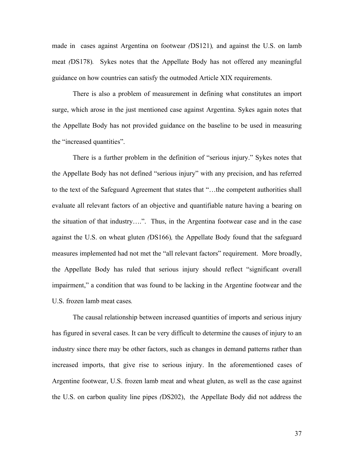made in cases against Argentina on footwear *(*DS121)*,* and against the U.S. on lamb meat *(*DS178)*.* Sykes notes that the Appellate Body has not offered any meaningful guidance on how countries can satisfy the outmoded Article XIX requirements.

There is also a problem of measurement in defining what constitutes an import surge, which arose in the just mentioned case against Argentina. Sykes again notes that the Appellate Body has not provided guidance on the baseline to be used in measuring the "increased quantities".

There is a further problem in the definition of "serious injury." Sykes notes that the Appellate Body has not defined "serious injury" with any precision, and has referred to the text of the Safeguard Agreement that states that "…the competent authorities shall evaluate all relevant factors of an objective and quantifiable nature having a bearing on the situation of that industry….". Thus, in the Argentina footwear case and in the case against the U.S. on wheat gluten *(*DS166)*,* the Appellate Body found that the safeguard measures implemented had not met the "all relevant factors" requirement. More broadly, the Appellate Body has ruled that serious injury should reflect "significant overall impairment," a condition that was found to be lacking in the Argentine footwear and the U.S. frozen lamb meat cases*.* 

The causal relationship between increased quantities of imports and serious injury has figured in several cases. It can be very difficult to determine the causes of injury to an industry since there may be other factors, such as changes in demand patterns rather than increased imports, that give rise to serious injury. In the aforementioned cases of Argentine footwear, U.S. frozen lamb meat and wheat gluten, as well as the case against the U.S. on carbon quality line pipes *(*DS202), the Appellate Body did not address the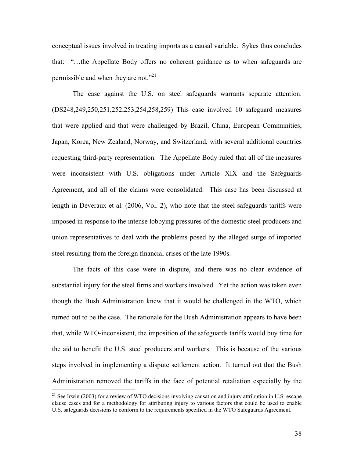conceptual issues involved in treating imports as a causal variable. Sykes thus concludes that: "…the Appellate Body offers no coherent guidance as to when safeguards are permissible and when they are not."<sup>21</sup>

The case against the U.S. on steel safeguards warrants separate attention. (DS248,249,250,251,252,253,254,258,259) This case involved 10 safeguard measures that were applied and that were challenged by Brazil, China, European Communities, Japan, Korea, New Zealand, Norway, and Switzerland, with several additional countries requesting third-party representation. The Appellate Body ruled that all of the measures were inconsistent with U.S. obligations under Article XIX and the Safeguards Agreement, and all of the claims were consolidated. This case has been discussed at length in Deveraux et al. (2006, Vol. 2), who note that the steel safeguards tariffs were imposed in response to the intense lobbying pressures of the domestic steel producers and union representatives to deal with the problems posed by the alleged surge of imported steel resulting from the foreign financial crises of the late 1990s.

The facts of this case were in dispute, and there was no clear evidence of substantial injury for the steel firms and workers involved. Yet the action was taken even though the Bush Administration knew that it would be challenged in the WTO, which turned out to be the case. The rationale for the Bush Administration appears to have been that, while WTO-inconsistent, the imposition of the safeguards tariffs would buy time for the aid to benefit the U.S. steel producers and workers. This is because of the various steps involved in implementing a dispute settlement action. It turned out that the Bush Administration removed the tariffs in the face of potential retaliation especially by the

<sup>&</sup>lt;sup>21</sup> See Irwin (2003) for a review of WTO decisions involving causation and injury attribution in U.S. escape clause cases and for a methodology for attributing injury to various factors that could be used to enable U.S. safeguards decisions to conform to the requirements specified in the WTO Safeguards Agreement.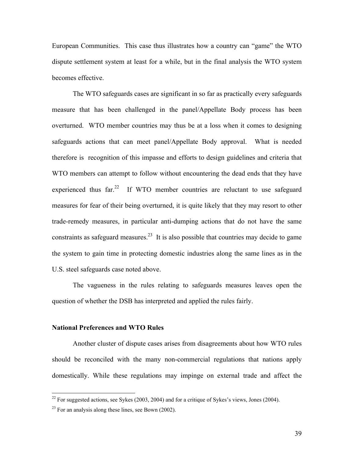European Communities. This case thus illustrates how a country can "game" the WTO dispute settlement system at least for a while, but in the final analysis the WTO system becomes effective.

The WTO safeguards cases are significant in so far as practically every safeguards measure that has been challenged in the panel/Appellate Body process has been overturned. WTO member countries may thus be at a loss when it comes to designing safeguards actions that can meet panel/Appellate Body approval. What is needed therefore is recognition of this impasse and efforts to design guidelines and criteria that WTO members can attempt to follow without encountering the dead ends that they have experienced thus  $far<sup>22</sup>$  If WTO member countries are reluctant to use safeguard measures for fear of their being overturned, it is quite likely that they may resort to other trade-remedy measures, in particular anti-dumping actions that do not have the same constraints as safeguard measures.<sup>23</sup> It is also possible that countries may decide to game the system to gain time in protecting domestic industries along the same lines as in the U.S. steel safeguards case noted above.

The vagueness in the rules relating to safeguards measures leaves open the question of whether the DSB has interpreted and applied the rules fairly.

#### **National Preferences and WTO Rules**

Another cluster of dispute cases arises from disagreements about how WTO rules should be reconciled with the many non-commercial regulations that nations apply domestically. While these regulations may impinge on external trade and affect the

 $^{22}$  For suggested actions, see Sykes (2003, 2004) and for a critique of Sykes's views, Jones (2004).

 $^{23}$  For an analysis along these lines, see Bown (2002).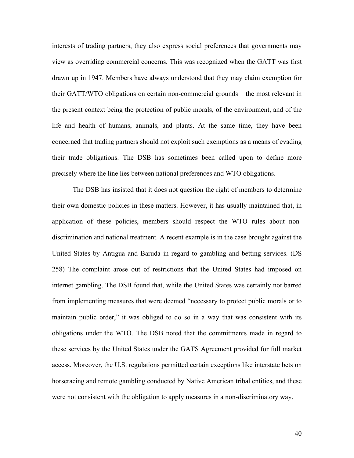interests of trading partners, they also express social preferences that governments may view as overriding commercial concerns. This was recognized when the GATT was first drawn up in 1947. Members have always understood that they may claim exemption for their GATT/WTO obligations on certain non-commercial grounds – the most relevant in the present context being the protection of public morals, of the environment, and of the life and health of humans, animals, and plants. At the same time, they have been concerned that trading partners should not exploit such exemptions as a means of evading their trade obligations. The DSB has sometimes been called upon to define more precisely where the line lies between national preferences and WTO obligations.

The DSB has insisted that it does not question the right of members to determine their own domestic policies in these matters. However, it has usually maintained that, in application of these policies, members should respect the WTO rules about nondiscrimination and national treatment. A recent example is in the case brought against the United States by Antigua and Baruda in regard to gambling and betting services. (DS 258) The complaint arose out of restrictions that the United States had imposed on internet gambling. The DSB found that, while the United States was certainly not barred from implementing measures that were deemed "necessary to protect public morals or to maintain public order," it was obliged to do so in a way that was consistent with its obligations under the WTO. The DSB noted that the commitments made in regard to these services by the United States under the GATS Agreement provided for full market access. Moreover, the U.S. regulations permitted certain exceptions like interstate bets on horseracing and remote gambling conducted by Native American tribal entities, and these were not consistent with the obligation to apply measures in a non-discriminatory way.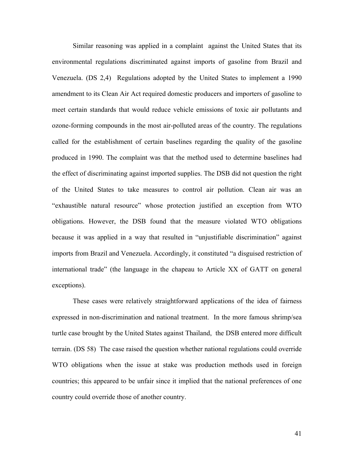Similar reasoning was applied in a complaint against the United States that its environmental regulations discriminated against imports of gasoline from Brazil and Venezuela. (DS 2,4) Regulations adopted by the United States to implement a 1990 amendment to its Clean Air Act required domestic producers and importers of gasoline to meet certain standards that would reduce vehicle emissions of toxic air pollutants and ozone-forming compounds in the most air-polluted areas of the country. The regulations called for the establishment of certain baselines regarding the quality of the gasoline produced in 1990. The complaint was that the method used to determine baselines had the effect of discriminating against imported supplies. The DSB did not question the right of the United States to take measures to control air pollution. Clean air was an "exhaustible natural resource" whose protection justified an exception from WTO obligations. However, the DSB found that the measure violated WTO obligations because it was applied in a way that resulted in "unjustifiable discrimination" against imports from Brazil and Venezuela. Accordingly, it constituted "a disguised restriction of international trade" (the language in the chapeau to Article XX of GATT on general exceptions).

These cases were relatively straightforward applications of the idea of fairness expressed in non-discrimination and national treatment. In the more famous shrimp/sea turtle case brought by the United States against Thailand, the DSB entered more difficult terrain. (DS 58) The case raised the question whether national regulations could override WTO obligations when the issue at stake was production methods used in foreign countries; this appeared to be unfair since it implied that the national preferences of one country could override those of another country.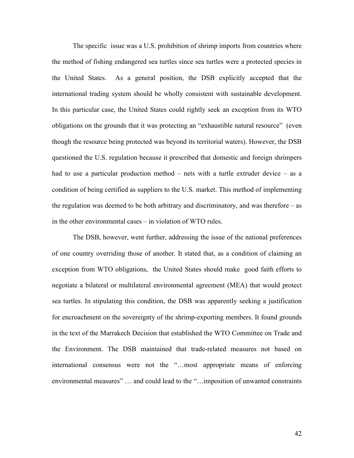The specific issue was a U.S. prohibition of shrimp imports from countries where the method of fishing endangered sea turtles since sea turtles were a protected species in the United States. As a general position, the DSB explicitly accepted that the international trading system should be wholly consistent with sustainable development. In this particular case, the United States could rightly seek an exception from its WTO obligations on the grounds that it was protecting an "exhaustible natural resource" (even though the resource being protected was beyond its territorial waters). However, the DSB questioned the U.S. regulation because it prescribed that domestic and foreign shrimpers had to use a particular production method – nets with a turtle extruder device – as a condition of being certified as suppliers to the U.S. market. This method of implementing the regulation was deemed to be both arbitrary and discriminatory, and was therefore – as in the other environmental cases – in violation of WTO rules.

The DSB, however, went further, addressing the issue of the national preferences of one country overriding those of another. It stated that, as a condition of claiming an exception from WTO obligations, the United States should make good faith efforts to negotiate a bilateral or multilateral environmental agreement (MEA) that would protect sea turtles. In stipulating this condition, the DSB was apparently seeking a justification for encroachment on the sovereignty of the shrimp-exporting members. It found grounds in the text of the Marrakech Decision that established the WTO Committee on Trade and the Environment. The DSB maintained that trade-related measures not based on international consensus were not the "…most appropriate means of enforcing environmental measures" … and could lead to the "…imposition of unwanted constraints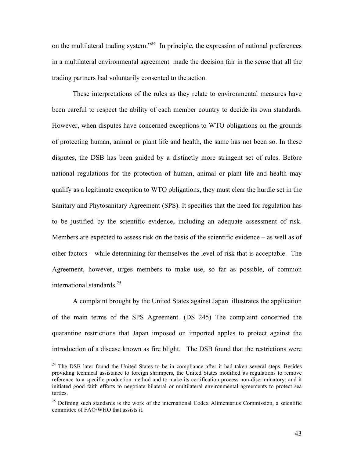on the multilateral trading system."<sup>24</sup> In principle, the expression of national preferences in a multilateral environmental agreement made the decision fair in the sense that all the trading partners had voluntarily consented to the action.

These interpretations of the rules as they relate to environmental measures have been careful to respect the ability of each member country to decide its own standards. However, when disputes have concerned exceptions to WTO obligations on the grounds of protecting human, animal or plant life and health, the same has not been so. In these disputes, the DSB has been guided by a distinctly more stringent set of rules. Before national regulations for the protection of human, animal or plant life and health may qualify as a legitimate exception to WTO obligations, they must clear the hurdle set in the Sanitary and Phytosanitary Agreement (SPS). It specifies that the need for regulation has to be justified by the scientific evidence, including an adequate assessment of risk. Members are expected to assess risk on the basis of the scientific evidence – as well as of other factors – while determining for themselves the level of risk that is acceptable. The Agreement, however, urges members to make use, so far as possible, of common international standards. $^{25}$ 

A complaint brought by the United States against Japan illustrates the application of the main terms of the SPS Agreement. (DS 245) The complaint concerned the quarantine restrictions that Japan imposed on imported apples to protect against the introduction of a disease known as fire blight. The DSB found that the restrictions were

 $24$  The DSB later found the United States to be in compliance after it had taken several steps. Besides providing technical assistance to foreign shrimpers, the United States modified its regulations to remove reference to a specific production method and to make its certification process non-discriminatory; and it initiated good faith efforts to negotiate bilateral or multilateral environmental agreements to protect sea turtles.

 $25$  Defining such standards is the work of the international Codex Alimentarius Commission, a scientific committee of FAO/WHO that assists it.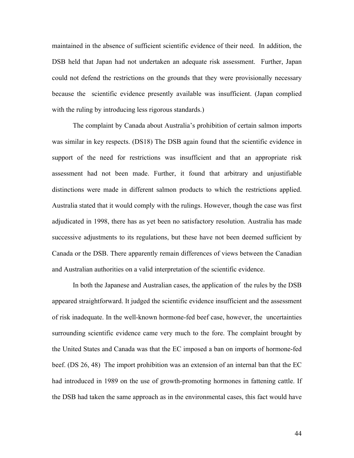maintained in the absence of sufficient scientific evidence of their need. In addition, the DSB held that Japan had not undertaken an adequate risk assessment. Further, Japan could not defend the restrictions on the grounds that they were provisionally necessary because the scientific evidence presently available was insufficient. (Japan complied with the ruling by introducing less rigorous standards.)

The complaint by Canada about Australia's prohibition of certain salmon imports was similar in key respects. (DS18) The DSB again found that the scientific evidence in support of the need for restrictions was insufficient and that an appropriate risk assessment had not been made. Further, it found that arbitrary and unjustifiable distinctions were made in different salmon products to which the restrictions applied. Australia stated that it would comply with the rulings. However, though the case was first adjudicated in 1998, there has as yet been no satisfactory resolution. Australia has made successive adjustments to its regulations, but these have not been deemed sufficient by Canada or the DSB. There apparently remain differences of views between the Canadian and Australian authorities on a valid interpretation of the scientific evidence.

In both the Japanese and Australian cases, the application of the rules by the DSB appeared straightforward. It judged the scientific evidence insufficient and the assessment of risk inadequate. In the well-known hormone-fed beef case, however, the uncertainties surrounding scientific evidence came very much to the fore. The complaint brought by the United States and Canada was that the EC imposed a ban on imports of hormone-fed beef. (DS 26, 48) The import prohibition was an extension of an internal ban that the EC had introduced in 1989 on the use of growth-promoting hormones in fattening cattle. If the DSB had taken the same approach as in the environmental cases, this fact would have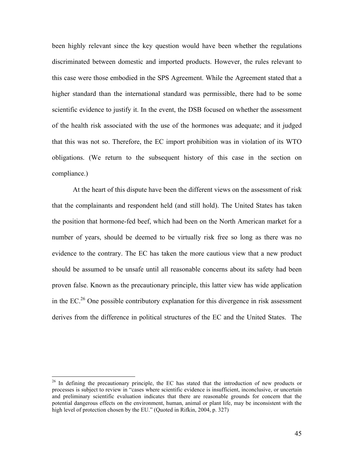been highly relevant since the key question would have been whether the regulations discriminated between domestic and imported products. However, the rules relevant to this case were those embodied in the SPS Agreement. While the Agreement stated that a higher standard than the international standard was permissible, there had to be some scientific evidence to justify it. In the event, the DSB focused on whether the assessment of the health risk associated with the use of the hormones was adequate; and it judged that this was not so. Therefore, the EC import prohibition was in violation of its WTO obligations. (We return to the subsequent history of this case in the section on compliance.)

At the heart of this dispute have been the different views on the assessment of risk that the complainants and respondent held (and still hold). The United States has taken the position that hormone-fed beef, which had been on the North American market for a number of years, should be deemed to be virtually risk free so long as there was no evidence to the contrary. The EC has taken the more cautious view that a new product should be assumed to be unsafe until all reasonable concerns about its safety had been proven false. Known as the precautionary principle, this latter view has wide application in the EC.26 One possible contributory explanation for this divergence in risk assessment derives from the difference in political structures of the EC and the United States. The

<sup>&</sup>lt;sup>26</sup> In defining the precautionary principle, the EC has stated that the introduction of new products or processes is subject to review in "cases where scientific evidence is insufficient, inconclusive, or uncertain and preliminary scientific evaluation indicates that there are reasonable grounds for concern that the potential dangerous effects on the environment, human, animal or plant life, may be inconsistent with the high level of protection chosen by the EU." (Quoted in Rifkin, 2004, p. 327)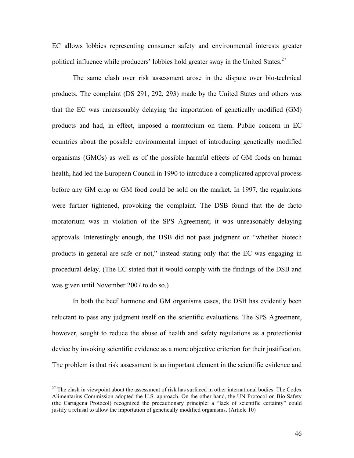EC allows lobbies representing consumer safety and environmental interests greater political influence while producers' lobbies hold greater sway in the United States.<sup>27</sup>

The same clash over risk assessment arose in the dispute over bio-technical products. The complaint (DS 291, 292, 293) made by the United States and others was that the EC was unreasonably delaying the importation of genetically modified (GM) products and had, in effect, imposed a moratorium on them. Public concern in EC countries about the possible environmental impact of introducing genetically modified organisms (GMOs) as well as of the possible harmful effects of GM foods on human health, had led the European Council in 1990 to introduce a complicated approval process before any GM crop or GM food could be sold on the market. In 1997, the regulations were further tightened, provoking the complaint. The DSB found that the de facto moratorium was in violation of the SPS Agreement; it was unreasonably delaying approvals. Interestingly enough, the DSB did not pass judgment on "whether biotech products in general are safe or not," instead stating only that the EC was engaging in procedural delay. (The EC stated that it would comply with the findings of the DSB and was given until November 2007 to do so.)

In both the beef hormone and GM organisms cases, the DSB has evidently been reluctant to pass any judgment itself on the scientific evaluations. The SPS Agreement, however, sought to reduce the abuse of health and safety regulations as a protectionist device by invoking scientific evidence as a more objective criterion for their justification. The problem is that risk assessment is an important element in the scientific evidence and

<sup>&</sup>lt;sup>27</sup> The clash in viewpoint about the assessment of risk has surfaced in other international bodies. The Codex Alimentarius Commission adopted the U.S. approach. On the other hand, the UN Protocol on Bio-Safety (the Cartagena Protocol) recognized the precautionary principle: a "lack of scientific certainty" could justify a refusal to allow the importation of genetically modified organisms. (Article 10)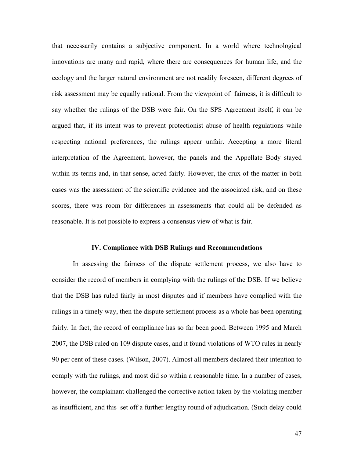that necessarily contains a subjective component. In a world where technological innovations are many and rapid, where there are consequences for human life, and the ecology and the larger natural environment are not readily foreseen, different degrees of risk assessment may be equally rational. From the viewpoint of fairness, it is difficult to say whether the rulings of the DSB were fair. On the SPS Agreement itself, it can be argued that, if its intent was to prevent protectionist abuse of health regulations while respecting national preferences, the rulings appear unfair. Accepting a more literal interpretation of the Agreement, however, the panels and the Appellate Body stayed within its terms and, in that sense, acted fairly. However, the crux of the matter in both cases was the assessment of the scientific evidence and the associated risk, and on these scores, there was room for differences in assessments that could all be defended as reasonable. It is not possible to express a consensus view of what is fair.

# **IV. Compliance with DSB Rulings and Recommendations**

In assessing the fairness of the dispute settlement process, we also have to consider the record of members in complying with the rulings of the DSB. If we believe that the DSB has ruled fairly in most disputes and if members have complied with the rulings in a timely way, then the dispute settlement process as a whole has been operating fairly. In fact, the record of compliance has so far been good. Between 1995 and March 2007, the DSB ruled on 109 dispute cases, and it found violations of WTO rules in nearly 90 per cent of these cases. (Wilson, 2007). Almost all members declared their intention to comply with the rulings, and most did so within a reasonable time. In a number of cases, however, the complainant challenged the corrective action taken by the violating member as insufficient, and this set off a further lengthy round of adjudication. (Such delay could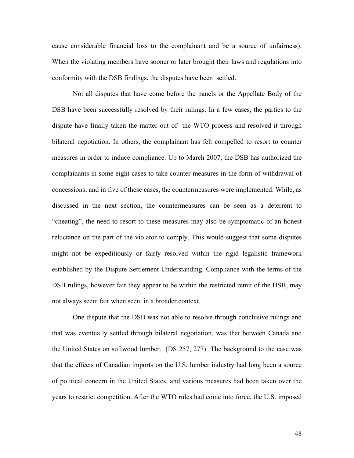cause considerable financial loss to the complainant and be a source of unfairness). When the violating members have sooner or later brought their laws and regulations into conformity with the DSB findings, the disputes have been settled.

Not all disputes that have come before the panels or the Appellate Body of the DSB have been successfully resolved by their rulings. In a few cases, the parties to the dispute have finally taken the matter out of the WTO process and resolved it through bilateral negotiation. In others, the complainant has felt compelled to resort to counter measures in order to induce compliance. Up to March 2007, the DSB has authorized the complainants in some eight cases to take counter measures in the form of withdrawal of concessions; and in five of these cases, the countermeasures were implemented. While, as discussed in the next section, the countermeasures can be seen as a deterrent to "cheating", the need to resort to these measures may also be symptomatic of an honest reluctance on the part of the violator to comply. This would suggest that some disputes might not be expeditiously or fairly resolved within the rigid legalistic framework established by the Dispute Settlement Understanding. Compliance with the terms of the DSB rulings, however fair they appear to be within the restricted remit of the DSB, may not always seem fair when seen in a broader context.

One dispute that the DSB was not able to resolve through conclusive rulings and that was eventually settled through bilateral negotiation, was that between Canada and the United States on softwood lumber. (DS 257, 277) The background to the case was that the effects of Canadian imports on the U.S. lumber industry had long been a source of political concern in the United States, and various measures had been taken over the years to restrict competition. After the WTO rules had come into force, the U.S. imposed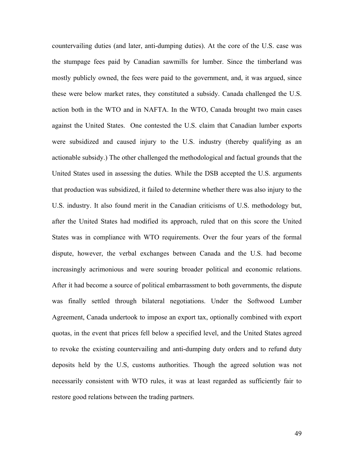countervailing duties (and later, anti-dumping duties). At the core of the U.S. case was the stumpage fees paid by Canadian sawmills for lumber. Since the timberland was mostly publicly owned, the fees were paid to the government, and, it was argued, since these were below market rates, they constituted a subsidy. Canada challenged the U.S. action both in the WTO and in NAFTA. In the WTO, Canada brought two main cases against the United States. One contested the U.S. claim that Canadian lumber exports were subsidized and caused injury to the U.S. industry (thereby qualifying as an actionable subsidy.) The other challenged the methodological and factual grounds that the United States used in assessing the duties. While the DSB accepted the U.S. arguments that production was subsidized, it failed to determine whether there was also injury to the U.S. industry. It also found merit in the Canadian criticisms of U.S. methodology but, after the United States had modified its approach, ruled that on this score the United States was in compliance with WTO requirements. Over the four years of the formal dispute, however, the verbal exchanges between Canada and the U.S. had become increasingly acrimonious and were souring broader political and economic relations. After it had become a source of political embarrassment to both governments, the dispute was finally settled through bilateral negotiations. Under the Softwood Lumber Agreement, Canada undertook to impose an export tax, optionally combined with export quotas, in the event that prices fell below a specified level, and the United States agreed to revoke the existing countervailing and anti-dumping duty orders and to refund duty deposits held by the U.S, customs authorities. Though the agreed solution was not necessarily consistent with WTO rules, it was at least regarded as sufficiently fair to restore good relations between the trading partners.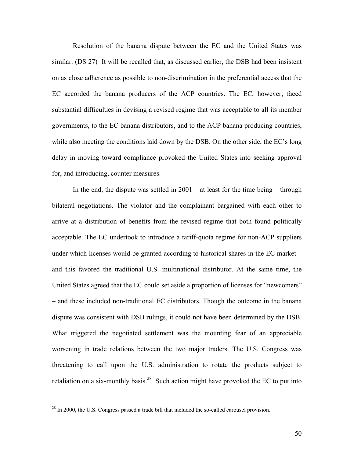Resolution of the banana dispute between the EC and the United States was similar. (DS 27) It will be recalled that, as discussed earlier, the DSB had been insistent on as close adherence as possible to non-discrimination in the preferential access that the EC accorded the banana producers of the ACP countries. The EC, however, faced substantial difficulties in devising a revised regime that was acceptable to all its member governments, to the EC banana distributors, and to the ACP banana producing countries, while also meeting the conditions laid down by the DSB. On the other side, the EC's long delay in moving toward compliance provoked the United States into seeking approval for, and introducing, counter measures.

In the end, the dispute was settled in  $2001 - at$  least for the time being  $-$  through bilateral negotiations. The violator and the complainant bargained with each other to arrive at a distribution of benefits from the revised regime that both found politically acceptable. The EC undertook to introduce a tariff-quota regime for non-ACP suppliers under which licenses would be granted according to historical shares in the EC market – and this favored the traditional U.S. multinational distributor. At the same time, the United States agreed that the EC could set aside a proportion of licenses for "newcomers" – and these included non-traditional EC distributors. Though the outcome in the banana dispute was consistent with DSB rulings, it could not have been determined by the DSB. What triggered the negotiated settlement was the mounting fear of an appreciable worsening in trade relations between the two major traders. The U.S. Congress was threatening to call upon the U.S. administration to rotate the products subject to retaliation on a six-monthly basis.<sup>28</sup> Such action might have provoked the EC to put into

<sup>&</sup>lt;sup>28</sup> In 2000, the U.S. Congress passed a trade bill that included the so-called carousel provision.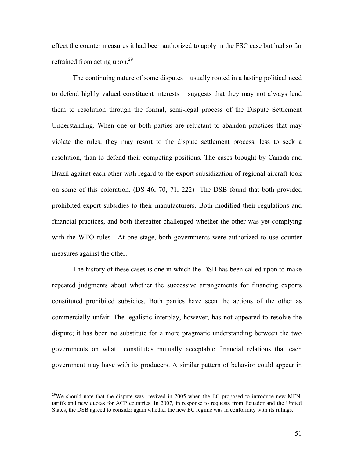effect the counter measures it had been authorized to apply in the FSC case but had so far refrained from acting upon.<sup>29</sup>

The continuing nature of some disputes – usually rooted in a lasting political need to defend highly valued constituent interests – suggests that they may not always lend them to resolution through the formal, semi-legal process of the Dispute Settlement Understanding. When one or both parties are reluctant to abandon practices that may violate the rules, they may resort to the dispute settlement process, less to seek a resolution, than to defend their competing positions. The cases brought by Canada and Brazil against each other with regard to the export subsidization of regional aircraft took on some of this coloration. (DS 46, 70, 71, 222) The DSB found that both provided prohibited export subsidies to their manufacturers. Both modified their regulations and financial practices, and both thereafter challenged whether the other was yet complying with the WTO rules. At one stage, both governments were authorized to use counter measures against the other.

The history of these cases is one in which the DSB has been called upon to make repeated judgments about whether the successive arrangements for financing exports constituted prohibited subsidies. Both parties have seen the actions of the other as commercially unfair. The legalistic interplay, however, has not appeared to resolve the dispute; it has been no substitute for a more pragmatic understanding between the two governments on what constitutes mutually acceptable financial relations that each government may have with its producers. A similar pattern of behavior could appear in

<sup>&</sup>lt;sup>29</sup>We should note that the dispute was revived in 2005 when the EC proposed to introduce new MFN. tariffs and new quotas for ACP countries. In 2007, in response to requests from Ecuador and the United States, the DSB agreed to consider again whether the new EC regime was in conformity with its rulings.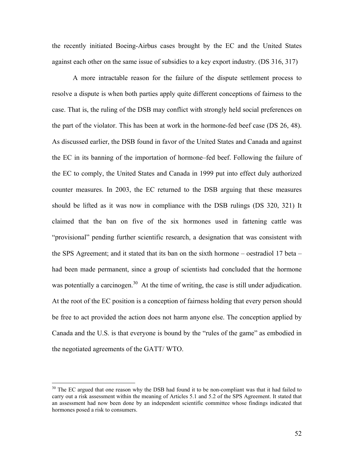the recently initiated Boeing-Airbus cases brought by the EC and the United States against each other on the same issue of subsidies to a key export industry. (DS 316, 317)

A more intractable reason for the failure of the dispute settlement process to resolve a dispute is when both parties apply quite different conceptions of fairness to the case. That is, the ruling of the DSB may conflict with strongly held social preferences on the part of the violator. This has been at work in the hormone-fed beef case (DS 26, 48). As discussed earlier, the DSB found in favor of the United States and Canada and against the EC in its banning of the importation of hormone–fed beef. Following the failure of the EC to comply, the United States and Canada in 1999 put into effect duly authorized counter measures. In 2003, the EC returned to the DSB arguing that these measures should be lifted as it was now in compliance with the DSB rulings (DS 320, 321) It claimed that the ban on five of the six hormones used in fattening cattle was "provisional" pending further scientific research, a designation that was consistent with the SPS Agreement; and it stated that its ban on the sixth hormone – oestradiol 17 beta – had been made permanent, since a group of scientists had concluded that the hormone was potentially a carcinogen.<sup>30</sup> At the time of writing, the case is still under adjudication. At the root of the EC position is a conception of fairness holding that every person should be free to act provided the action does not harm anyone else. The conception applied by Canada and the U.S. is that everyone is bound by the "rules of the game" as embodied in the negotiated agreements of the GATT/ WTO.

<sup>&</sup>lt;sup>30</sup> The EC argued that one reason why the DSB had found it to be non-compliant was that it had failed to carry out a risk assessment within the meaning of Articles 5.1 and 5.2 of the SPS Agreement. It stated that an assessment had now been done by an independent scientific committee whose findings indicated that hormones posed a risk to consumers.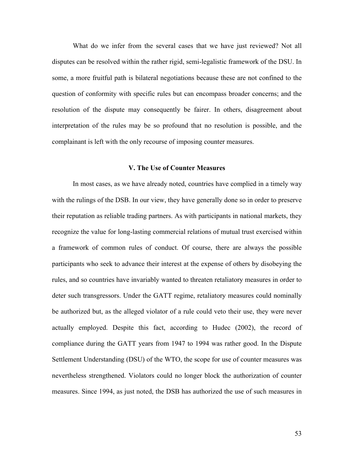What do we infer from the several cases that we have just reviewed? Not all disputes can be resolved within the rather rigid, semi-legalistic framework of the DSU. In some, a more fruitful path is bilateral negotiations because these are not confined to the question of conformity with specific rules but can encompass broader concerns; and the resolution of the dispute may consequently be fairer. In others, disagreement about interpretation of the rules may be so profound that no resolution is possible, and the complainant is left with the only recourse of imposing counter measures.

#### **V. The Use of Counter Measures**

In most cases, as we have already noted, countries have complied in a timely way with the rulings of the DSB. In our view, they have generally done so in order to preserve their reputation as reliable trading partners. As with participants in national markets, they recognize the value for long-lasting commercial relations of mutual trust exercised within a framework of common rules of conduct. Of course, there are always the possible participants who seek to advance their interest at the expense of others by disobeying the rules, and so countries have invariably wanted to threaten retaliatory measures in order to deter such transgressors. Under the GATT regime, retaliatory measures could nominally be authorized but, as the alleged violator of a rule could veto their use, they were never actually employed. Despite this fact, according to Hudec (2002), the record of compliance during the GATT years from 1947 to 1994 was rather good. In the Dispute Settlement Understanding (DSU) of the WTO, the scope for use of counter measures was nevertheless strengthened. Violators could no longer block the authorization of counter measures. Since 1994, as just noted, the DSB has authorized the use of such measures in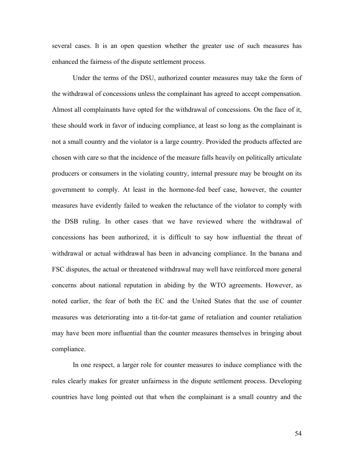several cases. It is an open question whether the greater use of such measures has enhanced the fairness of the dispute settlement process.

Under the terms of the DSU, authorized counter measures may take the form of the withdrawal of concessions unless the complainant has agreed to accept compensation. Almost all complainants have opted for the withdrawal of concessions. On the face of it, these should work in favor of inducing compliance, at least so long as the complainant is not a small country and the violator is a large country. Provided the products affected are chosen with care so that the incidence of the measure falls heavily on politically articulate producers or consumers in the violating country, internal pressure may be brought on its government to comply. At least in the hormone-fed beef case, however, the counter measures have evidently failed to weaken the reluctance of the violator to comply with the DSB ruling. In other cases that we have reviewed where the withdrawal of concessions has been authorized, it is difficult to say how influential the threat of withdrawal or actual withdrawal has been in advancing compliance. In the banana and FSC disputes, the actual or threatened withdrawal may well have reinforced more general concerns about national reputation in abiding by the WTO agreements. However, as noted earlier, the fear of both the EC and the United States that the use of counter measures was deteriorating into a tit-for-tat game of retaliation and counter retaliation may have been more influential than the counter measures themselves in bringing about compliance.

In one respect, a larger role for counter measures to induce compliance with the rules clearly makes for greater unfairness in the dispute settlement process. Developing countries have long pointed out that when the complainant is a small country and the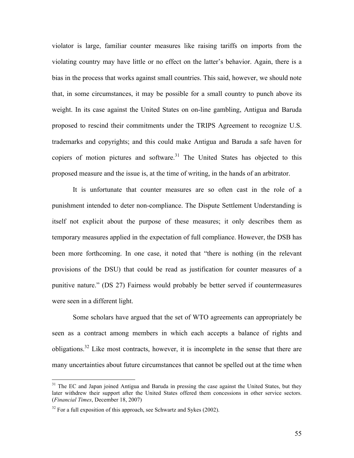violator is large, familiar counter measures like raising tariffs on imports from the violating country may have little or no effect on the latter's behavior. Again, there is a bias in the process that works against small countries. This said, however, we should note that, in some circumstances, it may be possible for a small country to punch above its weight. In its case against the United States on on-line gambling, Antigua and Baruda proposed to rescind their commitments under the TRIPS Agreement to recognize U.S. trademarks and copyrights; and this could make Antigua and Baruda a safe haven for copiers of motion pictures and software.<sup>31</sup> The United States has objected to this proposed measure and the issue is, at the time of writing, in the hands of an arbitrator.

It is unfortunate that counter measures are so often cast in the role of a punishment intended to deter non-compliance. The Dispute Settlement Understanding is itself not explicit about the purpose of these measures; it only describes them as temporary measures applied in the expectation of full compliance. However, the DSB has been more forthcoming. In one case, it noted that "there is nothing (in the relevant provisions of the DSU) that could be read as justification for counter measures of a punitive nature." (DS 27) Fairness would probably be better served if countermeasures were seen in a different light.

Some scholars have argued that the set of WTO agreements can appropriately be seen as a contract among members in which each accepts a balance of rights and obligations.<sup>32</sup> Like most contracts, however, it is incomplete in the sense that there are many uncertainties about future circumstances that cannot be spelled out at the time when

<sup>&</sup>lt;sup>31</sup> The EC and Japan joined Antigua and Baruda in pressing the case against the United States, but they later withdrew their support after the United States offered them concessions in other service sectors. (*Financial Times*, December 18, 2007)

 $32$  For a full exposition of this approach, see Schwartz and Sykes (2002).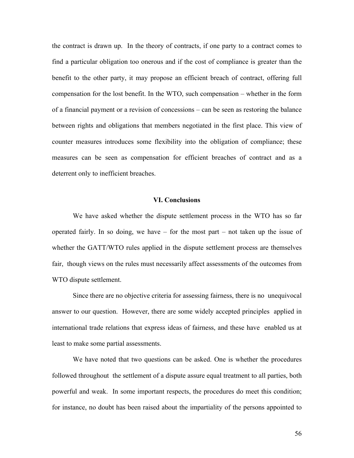the contract is drawn up. In the theory of contracts, if one party to a contract comes to find a particular obligation too onerous and if the cost of compliance is greater than the benefit to the other party, it may propose an efficient breach of contract, offering full compensation for the lost benefit. In the WTO, such compensation – whether in the form of a financial payment or a revision of concessions – can be seen as restoring the balance between rights and obligations that members negotiated in the first place. This view of counter measures introduces some flexibility into the obligation of compliance; these measures can be seen as compensation for efficient breaches of contract and as a deterrent only to inefficient breaches.

#### **VI. Conclusions**

We have asked whether the dispute settlement process in the WTO has so far operated fairly. In so doing, we have – for the most part – not taken up the issue of whether the GATT/WTO rules applied in the dispute settlement process are themselves fair, though views on the rules must necessarily affect assessments of the outcomes from WTO dispute settlement.

Since there are no objective criteria for assessing fairness, there is no unequivocal answer to our question. However, there are some widely accepted principles applied in international trade relations that express ideas of fairness, and these have enabled us at least to make some partial assessments.

We have noted that two questions can be asked. One is whether the procedures followed throughout the settlement of a dispute assure equal treatment to all parties, both powerful and weak. In some important respects, the procedures do meet this condition; for instance, no doubt has been raised about the impartiality of the persons appointed to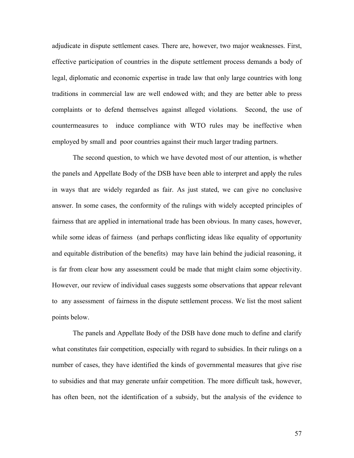adjudicate in dispute settlement cases. There are, however, two major weaknesses. First, effective participation of countries in the dispute settlement process demands a body of legal, diplomatic and economic expertise in trade law that only large countries with long traditions in commercial law are well endowed with; and they are better able to press complaints or to defend themselves against alleged violations. Second, the use of countermeasures to induce compliance with WTO rules may be ineffective when employed by small and poor countries against their much larger trading partners.

The second question, to which we have devoted most of our attention, is whether the panels and Appellate Body of the DSB have been able to interpret and apply the rules in ways that are widely regarded as fair. As just stated, we can give no conclusive answer. In some cases, the conformity of the rulings with widely accepted principles of fairness that are applied in international trade has been obvious. In many cases, however, while some ideas of fairness (and perhaps conflicting ideas like equality of opportunity and equitable distribution of the benefits) may have lain behind the judicial reasoning, it is far from clear how any assessment could be made that might claim some objectivity. However, our review of individual cases suggests some observations that appear relevant to any assessment of fairness in the dispute settlement process. We list the most salient points below.

The panels and Appellate Body of the DSB have done much to define and clarify what constitutes fair competition, especially with regard to subsidies. In their rulings on a number of cases, they have identified the kinds of governmental measures that give rise to subsidies and that may generate unfair competition. The more difficult task, however, has often been, not the identification of a subsidy, but the analysis of the evidence to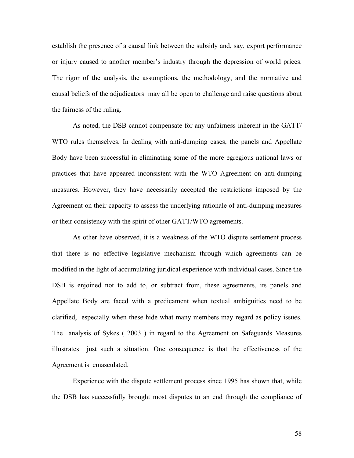establish the presence of a causal link between the subsidy and, say, export performance or injury caused to another member's industry through the depression of world prices. The rigor of the analysis, the assumptions, the methodology, and the normative and causal beliefs of the adjudicators may all be open to challenge and raise questions about the fairness of the ruling.

As noted, the DSB cannot compensate for any unfairness inherent in the GATT/ WTO rules themselves. In dealing with anti-dumping cases, the panels and Appellate Body have been successful in eliminating some of the more egregious national laws or practices that have appeared inconsistent with the WTO Agreement on anti-dumping measures. However, they have necessarily accepted the restrictions imposed by the Agreement on their capacity to assess the underlying rationale of anti-dumping measures or their consistency with the spirit of other GATT/WTO agreements.

As other have observed, it is a weakness of the WTO dispute settlement process that there is no effective legislative mechanism through which agreements can be modified in the light of accumulating juridical experience with individual cases. Since the DSB is enjoined not to add to, or subtract from, these agreements, its panels and Appellate Body are faced with a predicament when textual ambiguities need to be clarified, especially when these hide what many members may regard as policy issues. The analysis of Sykes ( 2003 ) in regard to the Agreement on Safeguards Measures illustrates just such a situation. One consequence is that the effectiveness of the Agreement is emasculated.

Experience with the dispute settlement process since 1995 has shown that, while the DSB has successfully brought most disputes to an end through the compliance of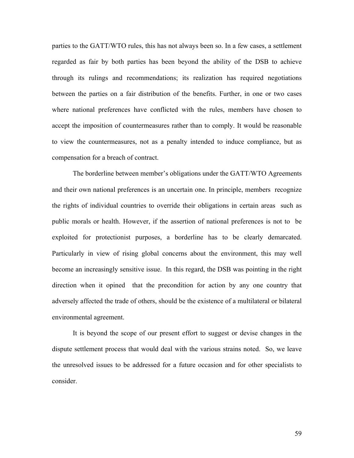parties to the GATT/WTO rules, this has not always been so. In a few cases, a settlement regarded as fair by both parties has been beyond the ability of the DSB to achieve through its rulings and recommendations; its realization has required negotiations between the parties on a fair distribution of the benefits. Further, in one or two cases where national preferences have conflicted with the rules, members have chosen to accept the imposition of countermeasures rather than to comply. It would be reasonable to view the countermeasures, not as a penalty intended to induce compliance, but as compensation for a breach of contract.

The borderline between member's obligations under the GATT/WTO Agreements and their own national preferences is an uncertain one. In principle, members recognize the rights of individual countries to override their obligations in certain areas such as public morals or health. However, if the assertion of national preferences is not to be exploited for protectionist purposes, a borderline has to be clearly demarcated. Particularly in view of rising global concerns about the environment, this may well become an increasingly sensitive issue. In this regard, the DSB was pointing in the right direction when it opined that the precondition for action by any one country that adversely affected the trade of others, should be the existence of a multilateral or bilateral environmental agreement.

It is beyond the scope of our present effort to suggest or devise changes in the dispute settlement process that would deal with the various strains noted. So, we leave the unresolved issues to be addressed for a future occasion and for other specialists to consider.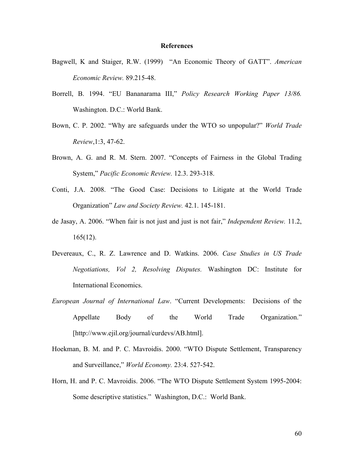#### **References**

- Bagwell, K and Staiger, R.W. (1999) "An Economic Theory of GATT". *American Economic Review.* 89.215-48.
- Borrell, B. 1994. "EU Bananarama III," *Policy Research Working Paper 13/86.*  Washington. D.C.: World Bank.
- Bown, C. P. 2002. "Why are safeguards under the WTO so unpopular?" *World Trade Review*,1:3, 47-62.
- Brown, A. G. and R. M. Stern. 2007. "Concepts of Fairness in the Global Trading System," *Pacific Economic Review.* 12.3. 293-318.
- Conti, J.A. 2008. "The Good Case: Decisions to Litigate at the World Trade Organization" *Law and Society Review.* 42.1. 145-181.
- de Jasay, A. 2006. "When fair is not just and just is not fair," *Independent Review.* 11.2,  $165(12)$ .
- Devereaux, C., R. Z. Lawrence and D. Watkins. 2006. *Case Studies in US Trade Negotiations, Vol 2, Resolving Disputes.* Washington DC: Institute for International Economics.
- *European Journal of International Law*. "Current Developments: Decisions of the Appellate Body of the World Trade Organization." [http://www.ejil.org/journal/curdevs/AB.html].
- Hoekman, B. M. and P. C. Mavroidis. 2000. "WTO Dispute Settlement, Transparency and Surveillance," *World Economy.* 23:4. 527-542.
- Horn, H. and P. C. Mavroidis. 2006. "The WTO Dispute Settlement System 1995-2004: Some descriptive statistics." Washington, D.C.: World Bank.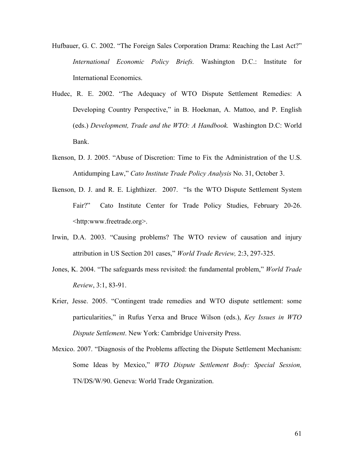- Hufbauer, G. C. 2002. "The Foreign Sales Corporation Drama: Reaching the Last Act?" *International Economic Policy Briefs.* Washington D.C.: Institute for International Economics.
- Hudec, R. E. 2002. "The Adequacy of WTO Dispute Settlement Remedies: A Developing Country Perspective," in B. Hoekman, A. Mattoo, and P. English (eds.) *Development, Trade and the WTO: A Handbook.* Washington D.C: World Bank.
- Ikenson, D. J. 2005. "Abuse of Discretion: Time to Fix the Administration of the U.S. Antidumping Law," *Cato Institute Trade Policy Analysis* No. 31, October 3.
- Ikenson, D. J. and R. E. Lighthizer. 2007. "Is the WTO Dispute Settlement System Fair?" Cato Institute Center for Trade Policy Studies, February 20-26. <http:www.freetrade.org>.
- Irwin, D.A. 2003. "Causing problems? The WTO review of causation and injury attribution in US Section 201 cases," *World Trade Review,* 2:3, 297-325.
- Jones, K. 2004. "The safeguards mess revisited: the fundamental problem," *World Trade Review*, 3:1, 83-91.
- Krier, Jesse. 2005. "Contingent trade remedies and WTO dispute settlement: some particularities," in Rufus Yerxa and Bruce Wilson (eds.), *Key Issues in WTO Dispute Settlement*. New York: Cambridge University Press.
- Mexico. 2007. "Diagnosis of the Problems affecting the Dispute Settlement Mechanism: Some Ideas by Mexico," *WTO Dispute Settlement Body: Special Session,*  TN/DS/W/90. Geneva: World Trade Organization.